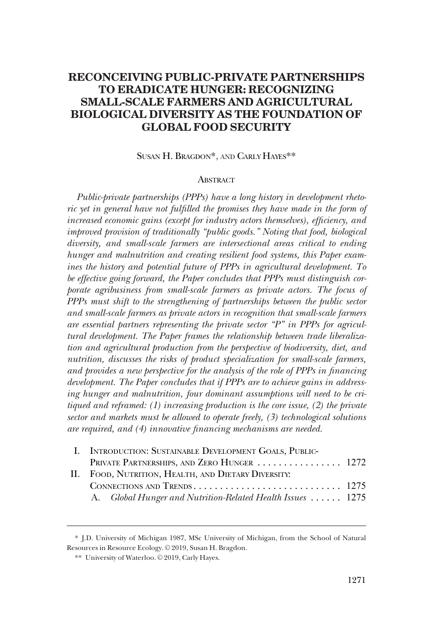# **RECONCEIVING PUBLIC-PRIVATE PARTNERSHIPS TO ERADICATE HUNGER: RECOGNIZING SMALL-SCALE FARMERS AND AGRICULTURAL BIOLOGICAL DIVERSITY AS THE FOUNDATION OF GLOBAL FOOD SECURITY**

SUSAN H. BRAGDON\*, AND CARLY HAYES\*\*

#### **ABSTRACT**

*Public-private partnerships (PPPs) have a long history in development rheto*ric yet in general have not fulfilled the promises they have made in the form of *increased economic gains (except for industry actors themselves), efficiency, and improved provision of traditionally "public goods." Noting that food, biological diversity, and small-scale farmers are intersectional areas critical to ending hunger and malnutrition and creating resilient food systems, this Paper examines the history and potential future of PPPs in agricultural development. To be effective going forward, the Paper concludes that PPPs must distinguish corporate agribusiness from small-scale farmers as private actors. The focus of PPPs must shift to the strengthening of partnerships between the public sector and small-scale farmers as private actors in recognition that small-scale farmers are essential partners representing the private sector "P" in PPPs for agricultural development. The Paper frames the relationship between trade liberalization and agricultural production from the perspective of biodiversity, diet, and nutrition, discusses the risks of product specialization for small-scale farmers, and provides a new perspective for the analysis of the role of PPPs in financing development. The Paper concludes that if PPPs are to achieve gains in addressing hunger and malnutrition, four dominant assumptions will need to be critiqued and reframed: (1) increasing production is the core issue, (2) the private sector and markets must be allowed to operate freely, (3) technological solutions are required, and (4) innovative financing mechanisms are needed.* 

| I. INTRODUCTION: SUSTAINABLE DEVELOPMENT GOALS, PUBLIC-    |  |
|------------------------------------------------------------|--|
| PRIVATE PARTNERSHIPS, AND ZERO HUNGER  1272                |  |
| II. FOOD, NUTRITION, HEALTH, AND DIETARY DIVERSITY:        |  |
|                                                            |  |
| A. Global Hunger and Nutrition-Related Health Issues  1275 |  |
|                                                            |  |

<sup>\*</sup> J.D. University of Michigan 1987, MSc University of Michigan, from the School of Natural Resources in Resource Ecology. © 2019, Susan H. Bragdon.

<sup>\*\*</sup> University of Waterloo. © 2019, Carly Hayes.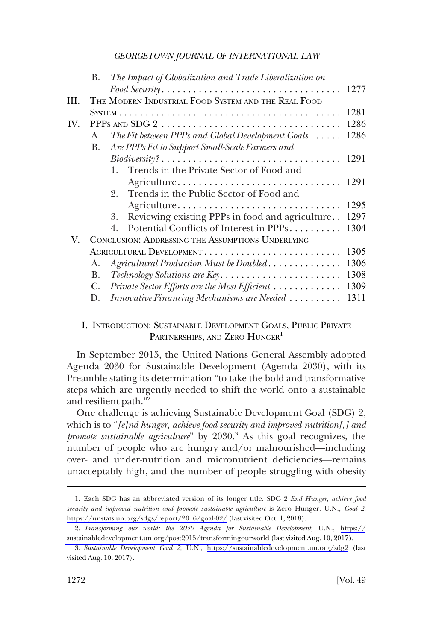<span id="page-1-0"></span>

|     | В.          |    | The Impact of Globalization and Trade Liberalization on                                               |      |
|-----|-------------|----|-------------------------------------------------------------------------------------------------------|------|
|     |             |    |                                                                                                       | 1277 |
| Ш.  |             |    | THE MODERN INDUSTRIAL FOOD SYSTEM AND THE REAL FOOD                                                   |      |
|     |             |    |                                                                                                       | 1281 |
| IV. |             |    |                                                                                                       | 1286 |
|     | $A_{\cdot}$ |    | The Fit between PPPs and Global Development Goals                                                     | 1286 |
|     | В.          |    | Are PPPs Fit to Support Small-Scale Farmers and                                                       |      |
|     |             |    | $\textit{Biodiversity?}\dots \dots \dots \dots \dots \dots \dots \dots \dots \dots \dots \dots \dots$ | 1291 |
|     |             |    | 1. Trends in the Private Sector of Food and                                                           |      |
|     |             |    | Agriculture                                                                                           | 1291 |
|     |             | 2. | Trends in the Public Sector of Food and                                                               |      |
|     |             |    | Agriculture                                                                                           | 1295 |
|     |             | 3. | Reviewing existing PPPs in food and agriculture                                                       | 1297 |
|     |             | 4. | Potential Conflicts of Interest in PPPs                                                               | 1304 |
| V.  |             |    | CONCLUSION: ADDRESSING THE ASSUMPTIONS UNDERLYING                                                     |      |
|     |             |    | AGRICULTURAL DEVELOPMENT                                                                              | 1305 |
|     | A.          |    | Agricultural Production Must be Doubled                                                               | 1306 |
|     | B.          |    |                                                                                                       | 1308 |
|     | C.          |    | Private Sector Efforts are the Most Efficient                                                         | 1309 |
|     | D.          |    | Innovative Financing Mechanisms are Needed                                                            | 1311 |

## I. INTRODUCTION: SUSTAINABLE DEVELOPMENT GOALS, PUBLIC-PRIVATE PARTNERSHIPS, AND ZERO HUNGER<sup>1</sup>

In September 2015, the United Nations General Assembly adopted Agenda 2030 for Sustainable Development (Agenda 2030), with its Preamble stating its determination "to take the bold and transformative steps which are urgently needed to shift the world onto a sustainable and resilient path."2

One challenge is achieving Sustainable Development Goal (SDG) 2, which is to "*[e]nd hunger, achieve food security and improved nutrition[,] and promote sustainable agriculture*" by 2030.3 As this goal recognizes, the number of people who are hungry and/or malnourished—including over- and under-nutrition and micronutrient deficiencies—remains unacceptably high, and the number of people struggling with obesity

Each SDG has an abbreviated version of its longer title. SDG 2 *End Hunger, achieve food*  1. *security and improved nutrition and promote sustainable agriculture* is Zero Hunger. U.N., *Goal 2*, <https://unstats.un.org/sdgs/report/2016/goal-02/> (last visited Oct. 1, 2018).

*Transforming our world: the 2030 Agenda for Sustainable Development*, U.N., [https://](https://sustainabledevelopment.un.org/post2015/transformingourworld) 2. [sustainabledevelopment.un.org/post2015/transformingourworld](https://sustainabledevelopment.un.org/post2015/transformingourworld) (last visited Aug. 10, 2017).

*Sustainable Development Goal 2*, U.N., <https://sustainabledevelopment.un.org/sdg2> (last 3. visited Aug. 10, 2017).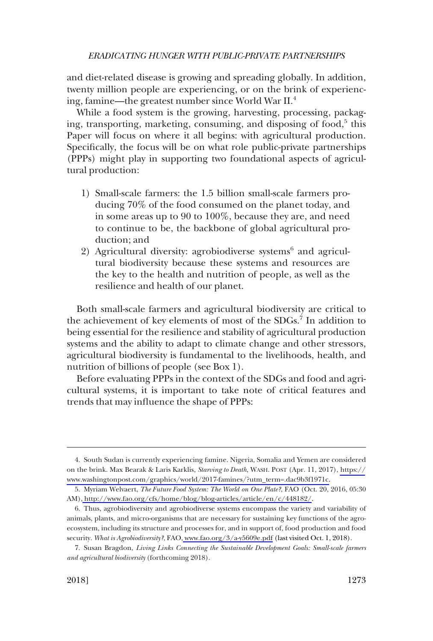and diet-related disease is growing and spreading globally. In addition, twenty million people are experiencing, or on the brink of experiencing, famine—the greatest number since World War II.4

While a food system is the growing, harvesting, processing, packaging, transporting, marketing, consuming, and disposing of food,<sup>5</sup> this Paper will focus on where it all begins: with agricultural production. Specifically, the focus will be on what role public-private partnerships (PPPs) might play in supporting two foundational aspects of agricultural production:

- 1) Small-scale farmers: the 1.5 billion small-scale farmers producing 70% of the food consumed on the planet today, and in some areas up to 90 to 100%, because they are, and need to continue to be, the backbone of global agricultural production; and
- 2) Agricultural diversity: agrobiodiverse systems<sup>6</sup> and agricultural biodiversity because these systems and resources are the key to the health and nutrition of people, as well as the resilience and health of our planet.

Both small-scale farmers and agricultural biodiversity are critical to the achievement of key elements of most of the SDGs.<sup>7</sup> In addition to being essential for the resilience and stability of agricultural production systems and the ability to adapt to climate change and other stressors, agricultural biodiversity is fundamental to the livelihoods, health, and nutrition of billions of people (see Box 1).

Before evaluating PPPs in the context of the SDGs and food and agricultural systems, it is important to take note of critical features and trends that may influence the shape of PPPs:

<sup>4.</sup> South Sudan is currently experiencing famine. Nigeria, Somalia and Yemen are considered on the brink. Max Bearak & Laris Karklis, *Starving to Death*, WASH. POST (Apr. 11, 2017), [https://](https://www.washingtonpost.com/graphics/world/2017-famines/?utm_term=.dac9b3f1971c) [www.washingtonpost.com/graphics/world/2017-famines/?utm\\_term=.dac9b3f1971c.](https://www.washingtonpost.com/graphics/world/2017-famines/?utm_term=.dac9b3f1971c)

<sup>5.</sup> Myriam Welvaert, *The Future Food System: The World on One Plate?*, FAO (Oct. 20, 2016, 05:30 AM),<http://www.fao.org/cfs/home/blog/blog-articles/article/en/c/448182/>.

<sup>6.</sup> Thus, agrobiodiversity and agrobiodiverse systems encompass the variety and variability of animals, plants, and micro-organisms that are necessary for sustaining key functions of the agroecosystem, including its structure and processes for, and in support of, food production and food security. *What is Agrobiodiversity?*, FAO,<www.fao.org/3/a-y5609e.pdf> (last visited Oct. 1, 2018).

<sup>7.</sup> Susan Bragdon, *Living Links Connecting the Sustainable Development Goals: Small-scale farmers and agricultural biodiversity* (forthcoming 2018).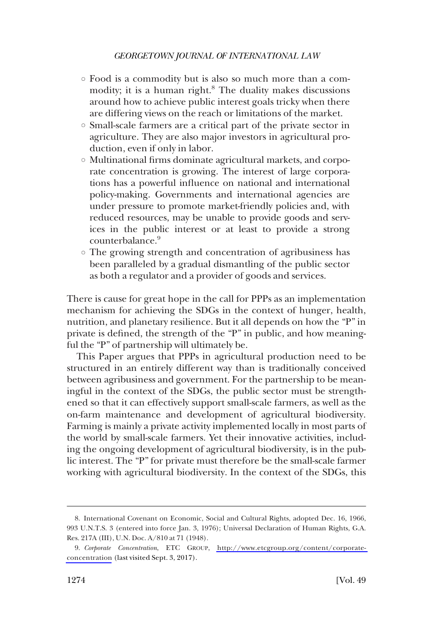- Food is a commodity but is also so much more than a commodity; it is a human right.<sup>8</sup> The duality makes discussions around how to achieve public interest goals tricky when there are differing views on the reach or limitations of the market.
- Small-scale farmers are a critical part of the private sector in agriculture. They are also major investors in agricultural production, even if only in labor.
- Multinational firms dominate agricultural markets, and corporate concentration is growing. The interest of large corporations has a powerful influence on national and international policy-making. Governments and international agencies are under pressure to promote market-friendly policies and, with reduced resources, may be unable to provide goods and services in the public interest or at least to provide a strong counterbalance.<sup>9</sup>
- The growing strength and concentration of agribusiness has been paralleled by a gradual dismantling of the public sector as both a regulator and a provider of goods and services.

There is cause for great hope in the call for PPPs as an implementation mechanism for achieving the SDGs in the context of hunger, health, nutrition, and planetary resilience. But it all depends on how the "P" in private is defined, the strength of the "P" in public, and how meaningful the "P" of partnership will ultimately be.

This Paper argues that PPPs in agricultural production need to be structured in an entirely different way than is traditionally conceived between agribusiness and government. For the partnership to be meaningful in the context of the SDGs, the public sector must be strengthened so that it can effectively support small-scale farmers, as well as the on-farm maintenance and development of agricultural biodiversity. Farming is mainly a private activity implemented locally in most parts of the world by small-scale farmers. Yet their innovative activities, including the ongoing development of agricultural biodiversity, is in the public interest. The "P" for private must therefore be the small-scale farmer working with agricultural biodiversity. In the context of the SDGs, this

<sup>8.</sup> International Covenant on Economic, Social and Cultural Rights, adopted Dec. 16, 1966, 993 U.N.T.S. 3 (entered into force Jan. 3, 1976); Universal Declaration of Human Rights, G.A. Res. 217A (III), U.N. Doc. A/810 at 71 (1948).

*Corporate Concentration*, ETC GROUP, [http://www.etcgroup.org/content/corporate-](http://www.etcgroup.org/content/corporate-concentration)9. [concentration](http://www.etcgroup.org/content/corporate-concentration) (last visited Sept. 3, 2017).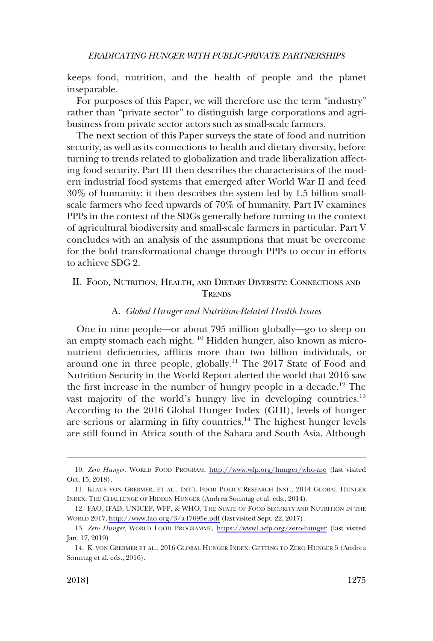<span id="page-4-0"></span>keeps food, nutrition, and the health of people and the planet inseparable.

For purposes of this Paper, we will therefore use the term "industry" rather than "private sector" to distinguish large corporations and agribusiness from private sector actors such as small-scale farmers.

The next section of this Paper surveys the state of food and nutrition security, as well as its connections to health and dietary diversity, before turning to trends related to globalization and trade liberalization affecting food security. Part III then describes the characteristics of the modern industrial food systems that emerged after World War II and feed 30% of humanity; it then describes the system led by 1.5 billion smallscale farmers who feed upwards of 70% of humanity. Part IV examines PPPs in the context of the SDGs generally before turning to the context of agricultural biodiversity and small-scale farmers in particular. Part V concludes with an analysis of the assumptions that must be overcome for the bold transformational change through PPPs to occur in efforts to achieve SDG 2.

## II. FOOD, NUTRITION, HEALTH, AND DIETARY DIVERSITY: CONNECTIONS AND **TRENDS**

#### A. *Global Hunger and Nutrition-Related Health Issues*

One in nine people—or about 795 million globally—go to sleep on an empty stomach each night. <sup>10</sup> Hidden hunger, also known as micronutrient deficiencies, afflicts more than two billion individuals, or around one in three people, globally.<sup>11</sup> The  $2017$  State of Food and Nutrition Security in the World Report alerted the world that 2016 saw the first increase in the number of hungry people in a decade.<sup>12</sup> The vast majority of the world's hungry live in developing countries.<sup>13</sup> According to the 2016 Global Hunger Index (GHI), levels of hunger are serious or alarming in fifty countries.<sup>14</sup> The highest hunger levels are still found in Africa south of the Sahara and South Asia. Although

*Zero Hunger*, WORLD FOOD PROGRAM, <http://www.wfp.org/hunger/who-are>(last visited 10. Oct. 15, 2018).

<sup>11.</sup> KLAUS VON GREBMER, ET AL., INT'L FOOD POLICY RESEARCH INST., 2014 GLOBAL HUNGER INDEX: THE CHALLENGE OF HIDDEN HUNGER (Andrea Sonntag et al. eds., 2014).

<sup>12.</sup> FAO, IFAD, UNICEF, WFP, & WHO, THE STATE OF FOOD SECURITY AND NUTRITION IN THE WORLD 2017,<http://www.fao.org/3/a-I7695e.pdf> (last visited Sept. 22, 2017).

<sup>13.</sup> Zero Hunger, WORLD FOOD PROGRAMME, <https://www1.wfp.org/zero-hunger> (last visited Jan. 17, 2019).

<sup>14.</sup> K. VON GREBMER ET AL., 2016 GLOBAL HUNGER INDEX: GETTING TO ZERO HUNGER 5 (Andrea Sonntag et al. eds., 2016).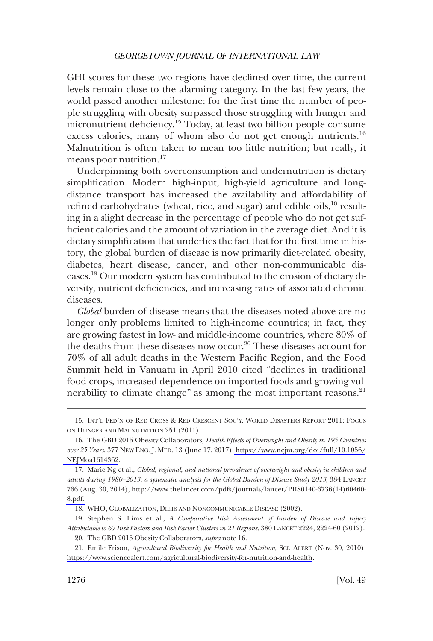GHI scores for these two regions have declined over time, the current levels remain close to the alarming category. In the last few years, the world passed another milestone: for the first time the number of people struggling with obesity surpassed those struggling with hunger and micronutrient deficiency.<sup>15</sup> Today, at least two billion people consume excess calories, many of whom also do not get enough nutrients.<sup>16</sup> Malnutrition is often taken to mean too little nutrition; but really, it means poor nutrition.<sup>17</sup>

Underpinning both overconsumption and undernutrition is dietary simplification. Modern high-input, high-yield agriculture and longdistance transport has increased the availability and affordability of refined carbohydrates (wheat, rice, and sugar) and edible oils, $^{18}$  resulting in a slight decrease in the percentage of people who do not get sufficient calories and the amount of variation in the average diet. And it is dietary simplification that underlies the fact that for the first time in history, the global burden of disease is now primarily diet-related obesity, diabetes, heart disease, cancer, and other non-communicable diseases.19 Our modern system has contributed to the erosion of dietary diversity, nutrient deficiencies, and increasing rates of associated chronic diseases.

*Global* burden of disease means that the diseases noted above are no longer only problems limited to high-income countries; in fact, they are growing fastest in low- and middle-income countries, where 80% of the deaths from these diseases now occur.<sup>20</sup> These diseases account for 70% of all adult deaths in the Western Pacific Region, and the Food Summit held in Vanuatu in April 2010 cited "declines in traditional food crops, increased dependence on imported foods and growing vulnerability to climate change" as among the most important reasons.<sup>21</sup>

21. Emile Frison, *Agricultural Biodiversity for Health and Nutrition*, SCI. ALERT (Nov. 30, 2010), [https://www.sciencealert.com/agricultural-biodiversity-for-nutrition-and-health.](https://www.sciencealert.com/agricultural-biodiversity-for-nutrition-and-health)

<sup>15.</sup> INT'L FED'N OF RED CROSS & RED CRESCENT SOC'Y, WORLD DISASTERS REPORT 2011: FOCUS ON HUNGER AND MALNUTRITION 251 (2011).

The GBD 2015 Obesity Collaborators, *Health Effects of Overweight and Obesity in 195 Countries*  16. *over 25 Years*, 377 NEW ENG. J. MED. 13 (June 17, 2017), [https://www.nejm.org/doi/full/10.1056/](https://www.nejm.org/doi/full/10.1056/NEJMoa1614362) [NEJMoa1614362](https://www.nejm.org/doi/full/10.1056/NEJMoa1614362).

Marie Ng et al., *Global, regional, and national prevalence of overweight and obesity in children and*  17. *adults during 1980–2013: a systematic analysis for the Global Burden of Disease Study 2013*, 384 LANCET 766 (Aug. 30, 2014), [http://www.thelancet.com/pdfs/journals/lancet/PIIS0140-6736\(14\)60460-](http://www.thelancet.com/pdfs/journals/lancet/PIIS0140-6736(14)60460-8.pdf)  [8.pdf.](http://www.thelancet.com/pdfs/journals/lancet/PIIS0140-6736(14)60460-8.pdf) 

<sup>18.</sup> WHO, GLOBALIZATION, DIETS AND NONCOMMUNICABLE DISEASE (2002).

<sup>19.</sup> Stephen S. Lims et al., *A Comparative Risk Assessment of Burden of Disease and Injury Attributable to 67 Risk Factors and Risk Factor Clusters in 21 Regions*, 380 LANCET 2224, 2224-60 (2012).

<sup>20.</sup> The GBD 2015 Obesity Collaborators, *supra* note 16.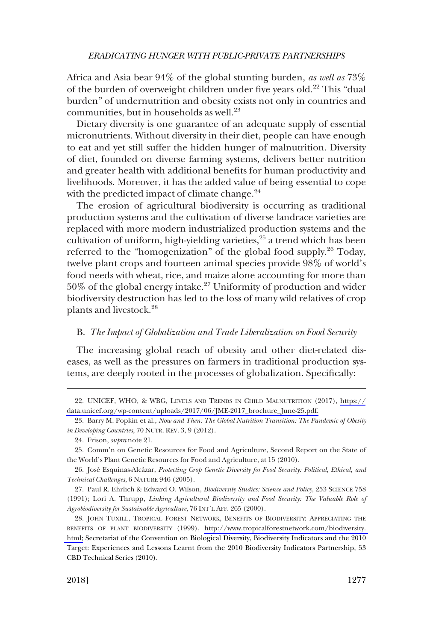<span id="page-6-0"></span>Africa and Asia bear 94% of the global stunting burden, *as well as* 73% of the burden of overweight children under five years old.<sup>22</sup> This "dual burden" of undernutrition and obesity exists not only in countries and communities, but in households as well.<sup>23</sup>

Dietary diversity is one guarantee of an adequate supply of essential micronutrients. Without diversity in their diet, people can have enough to eat and yet still suffer the hidden hunger of malnutrition. Diversity of diet, founded on diverse farming systems, delivers better nutrition and greater health with additional benefits for human productivity and livelihoods. Moreover, it has the added value of being essential to cope with the predicted impact of climate change. $24$ 

The erosion of agricultural biodiversity is occurring as traditional production systems and the cultivation of diverse landrace varieties are replaced with more modern industrialized production systems and the cultivation of uniform, high-yielding varieties,<sup>25</sup> a trend which has been referred to the "homogenization" of the global food supply.<sup>26</sup> Today, twelve plant crops and fourteen animal species provide 98% of world's food needs with wheat, rice, and maize alone accounting for more than 50% of the global energy intake.27 Uniformity of production and wider biodiversity destruction has led to the loss of many wild relatives of crop plants and livestock.28

### B. *The Impact of Globalization and Trade Liberalization on Food Security*

The increasing global reach of obesity and other diet-related diseases, as well as the pressures on farmers in traditional production systems, are deeply rooted in the processes of globalization. Specifically:

UNICEF, WHO, & WBG, LEVELS AND TRENDS IN CHILD MALNUTRITION (2017), [https://](https://data.unicef.org/wp-content/uploads/2017/06/JME-2017_brochure_June-25.pdf) 22. [data.unicef.org/wp-content/uploads/2017/06/JME-2017\\_brochure\\_June-25.pdf.](https://data.unicef.org/wp-content/uploads/2017/06/JME-2017_brochure_June-25.pdf)

<sup>23.</sup> Barry M. Popkin et al., *Now and Then: The Global Nutrition Transition: The Pandemic of Obesity in Developing Countries*, 70 NUTR. REV. 3, 9 (2012).

<sup>24.</sup> Frison, *supra* note 21.

<sup>25.</sup> Comm'n on Genetic Resources for Food and Agriculture, Second Report on the State of the World's Plant Genetic Resources for Food and Agriculture, at 15 (2010).

<sup>26.</sup> Jose´ Esquinas-Alca´zar, *Protecting Crop Genetic Diversity for Food Security: Political, Ethical, and Technical Challenges*, 6 NATURE 946 (2005).

<sup>27.</sup> Paul R. Ehrlich & Edward O. Wilson, *Biodiversity Studies: Science and Policy*, 253 SCIENCE 758 (1991); Lori A. Thrupp, *Linking Agricultural Biodiversity and Food Security: The Valuable Role of Agrobiodiversity for Sustainable Agriculture*, 76 INT'L AFF. 265 (2000).

<sup>28.</sup> JOHN TUXILL, TROPICAL FOREST NETWORK, BENEFITS OF BIODIVERSITY: APPRECIATING THE BENEFITS OF PLANT BIODIVERSITY (1999), [http://www.tropicalforestnetwork.com/biodiversity.](http://www.tropicalforestnetwork.com/biodiversity.html)  [html;](http://www.tropicalforestnetwork.com/biodiversity.html) Secretariat of the Convention on Biological Diversity, Biodiversity Indicators and the 2010 Target: Experiences and Lessons Learnt from the 2010 Biodiversity Indicators Partnership, 53 CBD Technical Series (2010).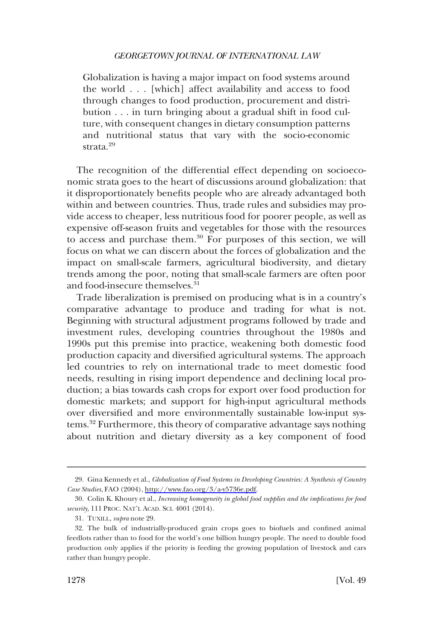Globalization is having a major impact on food systems around the world . . . [which] affect availability and access to food through changes to food production, procurement and distribution . . . in turn bringing about a gradual shift in food culture, with consequent changes in dietary consumption patterns and nutritional status that vary with the socio-economic strata.<sup>29</sup>

The recognition of the differential effect depending on socioeconomic strata goes to the heart of discussions around globalization: that it disproportionately benefits people who are already advantaged both within and between countries. Thus, trade rules and subsidies may provide access to cheaper, less nutritious food for poorer people, as well as expensive off-season fruits and vegetables for those with the resources to access and purchase them.<sup>30</sup> For purposes of this section, we will focus on what we can discern about the forces of globalization and the impact on small-scale farmers, agricultural biodiversity, and dietary trends among the poor, noting that small-scale farmers are often poor and food-insecure themselves.<sup>31</sup>

Trade liberalization is premised on producing what is in a country's comparative advantage to produce and trading for what is not. Beginning with structural adjustment programs followed by trade and investment rules, developing countries throughout the 1980s and 1990s put this premise into practice, weakening both domestic food production capacity and diversified agricultural systems. The approach led countries to rely on international trade to meet domestic food needs, resulting in rising import dependence and declining local production; a bias towards cash crops for export over food production for domestic markets; and support for high-input agricultural methods over diversified and more environmentally sustainable low-input systems.32 Furthermore, this theory of comparative advantage says nothing about nutrition and dietary diversity as a key component of food

Gina Kennedy et al., *Globalization of Food Systems in Developing Countries: A Synthesis of Country*  29. *Case Studies*, FAO (2004), [http://www.fao.org/3/a-y5736e.pdf.](http://www.fao.org/3/a-y5736e.pdf)

<sup>30.</sup> Colin K. Khoury et al., *Increasing homogeneity in global food supplies and the implications for food security*, 111 PROC. NAT'L ACAD. SCI. 4001 (2014).

<sup>31.</sup> TUXILL, *supra* note 29.

<sup>32.</sup> The bulk of industrially-produced grain crops goes to biofuels and confined animal feedlots rather than to food for the world's one billion hungry people. The need to double food production only applies if the priority is feeding the growing population of livestock and cars rather than hungry people.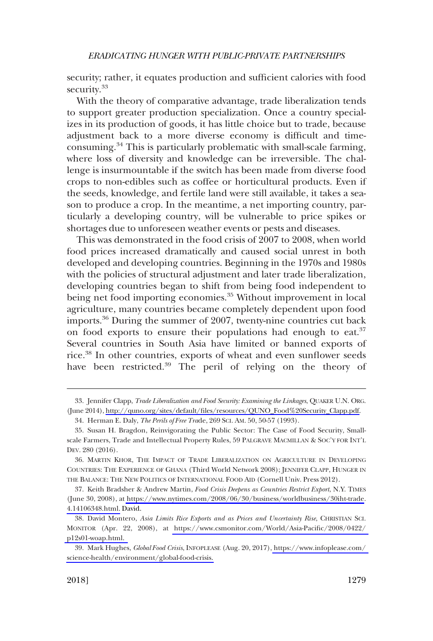security; rather, it equates production and sufficient calories with food security.<sup>33</sup>

With the theory of comparative advantage, trade liberalization tends to support greater production specialization. Once a country specializes in its production of goods, it has little choice but to trade, because adjustment back to a more diverse economy is difficult and timeconsuming.34 This is particularly problematic with small-scale farming, where loss of diversity and knowledge can be irreversible. The challenge is insurmountable if the switch has been made from diverse food crops to non-edibles such as coffee or horticultural products. Even if the seeds, knowledge, and fertile land were still available, it takes a season to produce a crop. In the meantime, a net importing country, particularly a developing country, will be vulnerable to price spikes or shortages due to unforeseen weather events or pests and diseases.

This was demonstrated in the food crisis of 2007 to 2008, when world food prices increased dramatically and caused social unrest in both developed and developing countries. Beginning in the 1970s and 1980s with the policies of structural adjustment and later trade liberalization, developing countries began to shift from being food independent to being net food importing economies.<sup>35</sup> Without improvement in local agriculture, many countries became completely dependent upon food imports.36 During the summer of 2007, twenty-nine countries cut back on food exports to ensure their populations had enough to eat.<sup>37</sup> Several countries in South Asia have limited or banned exports of rice.38 In other countries, exports of wheat and even sunflower seeds have been restricted.<sup>39</sup> The peril of relying on the theory of

<sup>33.</sup> Jennifer Clapp, *Trade Liberalization and Food Security: Examining the Linkages*, QUAKER U.N. ORG. (June 2014), [http://quno.org/sites/default/files/resources/QUNO\\_Food%20Security\\_Clapp.pdf](http://quno.org/sites/default/files/resources/QUNO_Food%20Security_Clapp.pdf).

<sup>34.</sup> Herman E. Daly, *The Perils of Free Tra*de, 269 SCI. AM. 50, 50-57 (1993).

<sup>35.</sup> Susan H. Bragdon, Reinvigorating the Public Sector: The Case of Food Security, Smallscale Farmers, Trade and Intellectual Property Rules, 59 PALGRAVE MACMILLAN & SOC'Y FOR INT'L DEV. 280 (2016).

<sup>36.</sup> MARTIN KHOR, THE IMPACT OF TRADE LIBERALIZATION ON AGRICULTURE IN DEVELOPING COUNTRIES: THE EXPERIENCE OF GHANA (Third World Network 2008); JENNIFER CLAPP, HUNGER IN THE BALANCE: THE NEW POLITICS OF INTERNATIONAL FOOD AID (Cornell Univ. Press 2012).

<sup>37.</sup> Keith Bradsher & Andrew Martin, *Food Crisis Deepens as Countries Restrict Export*, N.Y. TIMES (June 30, 2008), at [https://www.nytimes.com/2008/06/30/business/worldbusiness/30iht-trade.](https://www.nytimes.com/2008/06/30/business/worldbusiness/30iht-trade.4.14106348.html) [4.14106348.html.](https://www.nytimes.com/2008/06/30/business/worldbusiness/30iht-trade.4.14106348.html) David.

<sup>38.</sup> David Montero, Asia Limits Rice Exports and as Prices and Uncertainty Rise, CHRISTIAN SCI. MONITOR (Apr. 22, 2008), at [https://www.csmonitor.com/World/Asia-Pacific/2008/0422/](https://www.csmonitor.com/World/Asia-Pacific/2008/0422/p12s01-woap.html)  [p12s01-woap.html.](https://www.csmonitor.com/World/Asia-Pacific/2008/0422/p12s01-woap.html) 

Mark Hughes, *Global Food Crisis*, INFOPLEASE (Aug. 20, 2017), [https://www.infoplease.com/](https://www.infoplease.com/science-health/environment/global-food-crisis)  39. [science-health/environment/global-food-crisis.](https://www.infoplease.com/science-health/environment/global-food-crisis)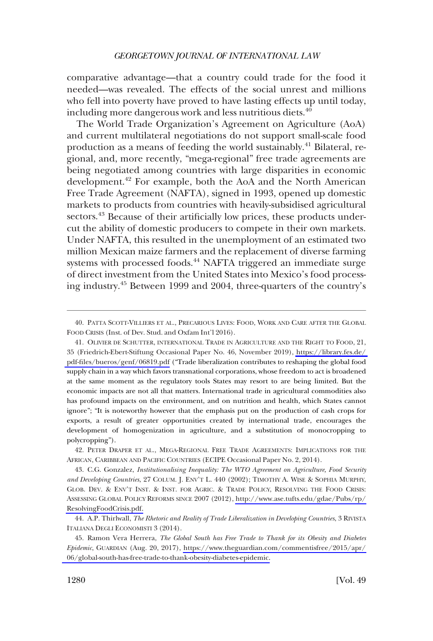comparative advantage—that a country could trade for the food it needed—was revealed. The effects of the social unrest and millions who fell into poverty have proved to have lasting effects up until today, including more dangerous work and less nutritious diets.<sup>40</sup>

The World Trade Organization's Agreement on Agriculture (AoA) and current multilateral negotiations do not support small-scale food production as a means of feeding the world sustainably.<sup>41</sup> Bilateral, regional, and, more recently, "mega-regional" free trade agreements are being negotiated among countries with large disparities in economic development.42 For example, both the AoA and the North American Free Trade Agreement (NAFTA), signed in 1993, opened up domestic markets to products from countries with heavily-subsidised agricultural sectors.<sup>43</sup> Because of their artificially low prices, these products undercut the ability of domestic producers to compete in their own markets. Under NAFTA, this resulted in the unemployment of an estimated two million Mexican maize farmers and the replacement of diverse farming systems with processed foods.<sup>44</sup> NAFTA triggered an immediate surge of direct investment from the United States into Mexico's food processing industry.45 Between 1999 and 2004, three-quarters of the country's

42. PETER DRAPER ET AL., MEGA-REGIONAL FREE TRADE AGREEMENTS: IMPLICATIONS FOR THE AFRICAN, CARIBBEAN AND PACIFIC COUNTRIES (ECIPE Occasional Paper No. 2, 2014).

C.G. Gonzalez, *Institutionalising Inequality: The WTO Agreement on Agriculture, Food Security*  43. *and Developing Countries*, 27 COLUM. J. ENV'T L. 440 (2002); TIMOTHY A. WISE & SOPHIA MURPHY, GLOB. DEV. & ENV'T INST. & INST. FOR AGRIC. & TRADE POLICY, RESOLVING THE FOOD CRISIS: ASSESSING GLOBAL POLICY REFORMS SINCE 2007 (2012), [http://www.ase.tufts.edu/gdae/Pubs/rp/](http://www.ase.tufts.edu/gdae/Pubs/rp/ResolvingFoodCrisis.pdf) [ResolvingFoodCrisis.pdf.](http://www.ase.tufts.edu/gdae/Pubs/rp/ResolvingFoodCrisis.pdf)

44. A.P. Thirlwall, *The Rhetoric and Reality of Trade Liberalization in Developing Countries*, 3 RIVISTA ITALIANA DEGLI ECONOMISTI 3 (2014).

Ramon Vera Herrera, *The Global South has Free Trade to Thank for its Obesity and Diabetes*  45. *Epidemic*, GUARDIAN (Aug. 20, 2017), [https://www.theguardian.com/commentisfree/2015/apr/](https://www.theguardian.com/commentisfree/2015/apr/06/global-south-has-free-trade-to-thank-obesity-diabetes-epidemic)  [06/global-south-has-free-trade-to-thank-obesity-diabetes-epidemic.](https://www.theguardian.com/commentisfree/2015/apr/06/global-south-has-free-trade-to-thank-obesity-diabetes-epidemic)

<sup>40.</sup> PATTA SCOTT-VILLIERS ET AL., PRECARIOUS LIVES: FOOD, WORK AND CARE AFTER THE GLOBAL FOOD CRISIS (Inst. of Dev. Stud. and Oxfam Int'l 2016).

OLIVIER DE SCHUTTER, INTERNATIONAL TRADE IN AGRICULTURE AND THE RIGHT TO FOOD, 21, 41. 35 (Friedrich-Ebert-Stiftung Occasional Paper No. 46, November 2019), [https://library.fes.de/](https://library.fes.de/pdf-files/bueros/genf/06819.pdf)  [pdf-files/bueros/genf/06819.pdf](https://library.fes.de/pdf-files/bueros/genf/06819.pdf) ("Trade liberalization contributes to reshaping the global food supply chain in a way which favors transnational corporations, whose freedom to act is broadened at the same moment as the regulatory tools States may resort to are being limited. But the economic impacts are not all that matters. International trade in agricultural commodities also has profound impacts on the environment, and on nutrition and health, which States cannot ignore"; "It is noteworthy however that the emphasis put on the production of cash crops for exports, a result of greater opportunities created by international trade, encourages the development of homogenization in agriculture, and a substitution of monocropping to polycropping").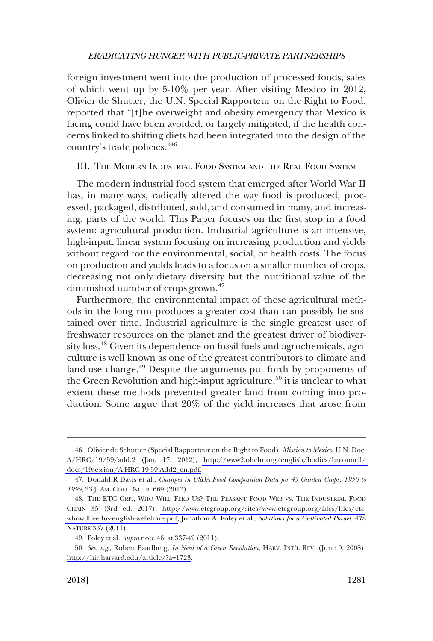<span id="page-10-0"></span>foreign investment went into the production of processed foods, sales of which went up by 5-10% per year. After visiting Mexico in 2012, Olivier de Shutter, the U.N. Special Rapporteur on the Right to Food, reported that "[t]he overweight and obesity emergency that Mexico is facing could have been avoided, or largely mitigated, if the health concerns linked to shifting diets had been integrated into the design of the country's trade policies."46

#### III. THE MODERN INDUSTRIAL FOOD SYSTEM AND THE REAL FOOD SYSTEM

The modern industrial food system that emerged after World War II has, in many ways, radically altered the way food is produced, processed, packaged, distributed, sold, and consumed in many, and increasing, parts of the world. This Paper focuses on the first stop in a food system: agricultural production. Industrial agriculture is an intensive, high-input, linear system focusing on increasing production and yields without regard for the environmental, social, or health costs. The focus on production and yields leads to a focus on a smaller number of crops, decreasing not only dietary diversity but the nutritional value of the diminished number of crops grown.<sup>47</sup>

Furthermore, the environmental impact of these agricultural methods in the long run produces a greater cost than can possibly be sustained over time. Industrial agriculture is the single greatest user of freshwater resources on the planet and the greatest driver of biodiversity loss.48 Given its dependence on fossil fuels and agrochemicals, agriculture is well known as one of the greatest contributors to climate and land-use change.<sup>49</sup> Despite the arguments put forth by proponents of the Green Revolution and high-input agriculture,<sup>50</sup> it is unclear to what extent these methods prevented greater land from coming into production. Some argue that 20% of the yield increases that arose from

Olivier de Schutter (Special Rapporteur on the Right to Food), *Mission to Mexico*, U.N. Doc. 46. A/HRC/19/59/add.2 (Jan. 17, 2012), [http://www2.ohchr.org/english/bodies/hrcouncil/](http://www2.ohchr.org/english/bodies/hrcouncil/docs/19session/A-HRC-19-59-Add2_en.pdf)  [docs/19session/A-HRC-19-59-Add2\\_en.pdf.](http://www2.ohchr.org/english/bodies/hrcouncil/docs/19session/A-HRC-19-59-Add2_en.pdf)

<sup>47.</sup> Donald R Davis et al., *Changes in USDA Food Composition Data for 43 Garden Crops, 1950 to 1999*, 23 J. AM. COLL. NUTR. 669 (2013).

THE ETC GRP., WHO WILL FEED US? THE PEASANT FOOD WEB VS. THE INDUSTRIAL FOOD 48. CHAIN 35 (3rd ed. 2017), [http://www.etcgroup.org/sites/www.etcgroup.org/files/files/etc](http://www.etcgroup.org/sites/www.etcgroup.org/files/files/etc- whowillfeedus-english-webshare.pdf)[whowillfeedus-english-webshare.pdf](http://www.etcgroup.org/sites/www.etcgroup.org/files/files/etc- whowillfeedus-english-webshare.pdf); Jonathan A. Foley et al., *Solutions for a Cultivated Planet*, 478 NATURE 337 (2011).

<sup>49.</sup> Foley et al., *supra* note 46, at 337-42 (2011).

*See, e.g*., Robert Paarlberg, *In Need of a Green Revolution*, HARV. INT'L REV. (June 9, 2008), 50. <http://hir.harvard.edu/article/?a=1723>.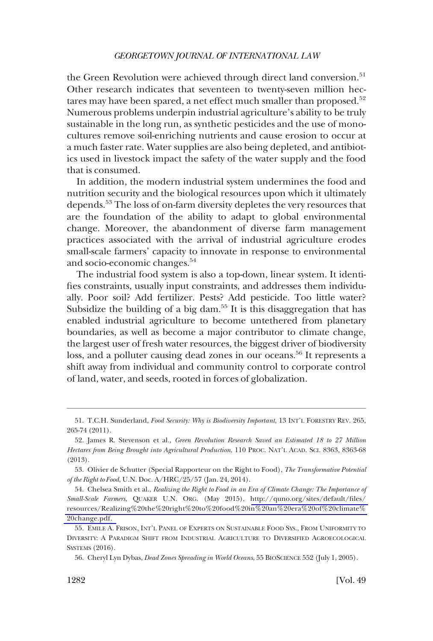the Green Revolution were achieved through direct land conversion.<sup>51</sup> Other research indicates that seventeen to twenty-seven million hectares may have been spared, a net effect much smaller than proposed.<sup>52</sup> Numerous problems underpin industrial agriculture's ability to be truly sustainable in the long run, as synthetic pesticides and the use of monocultures remove soil-enriching nutrients and cause erosion to occur at a much faster rate. Water supplies are also being depleted, and antibiotics used in livestock impact the safety of the water supply and the food that is consumed.

In addition, the modern industrial system undermines the food and nutrition security and the biological resources upon which it ultimately depends.53 The loss of on-farm diversity depletes the very resources that are the foundation of the ability to adapt to global environmental change. Moreover, the abandonment of diverse farm management practices associated with the arrival of industrial agriculture erodes small-scale farmers' capacity to innovate in response to environmental and socio-economic changes.<sup>54</sup>

The industrial food system is also a top-down, linear system. It identifies constraints, usually input constraints, and addresses them individually. Poor soil? Add fertilizer. Pests? Add pesticide. Too little water? Subsidize the building of a big dam.<sup>55</sup> It is this disaggregation that has enabled industrial agriculture to become untethered from planetary boundaries, as well as become a major contributor to climate change, the largest user of fresh water resources, the biggest driver of biodiversity loss, and a polluter causing dead zones in our oceans.<sup>56</sup> It represents a shift away from individual and community control to corporate control of land, water, and seeds, rooted in forces of globalization.

<sup>51.</sup> T.C.H. Sunderland, *Food Security: Why is Biodiversity Important*, 13 INT'L FORESTRY REV. 265, 265-74 (2011).

<sup>52.</sup> James R. Stevenson et al., *Green Revolution Research Saved an Estimated 18 to 27 Million Hectares from Being Brought into Agricultural Production*, 110 PROC. NAT'L ACAD. SCI. 8363, 8363-68 (2013).

<sup>53.</sup> Olivier de Schutter (Special Rapporteur on the Right to Food), *The Transformative Potential of the Right to Food*, U.N. Doc. A/HRC/25/57 (Jan. 24, 2014).

<sup>54.</sup> Chelsea Smith et al., *Realizing the Right to Food in an Era of Climate Change: The Importance of Small-Scale Farmers*, QUAKER U.N. ORG. (May 2015), [http://quno.org/sites/default/files/](http://quno.org/sites/default/files/resources/Realizing%20the%20right%20to%20food%20in%20an%20era%20of%20climate%20change.pdf)  [resources/Realizing%20the%20right%20to%20food%20in%20an%20era%20of%20climate%](http://quno.org/sites/default/files/resources/Realizing%20the%20right%20to%20food%20in%20an%20era%20of%20climate%20change.pdf)  [20change.pdf.](http://quno.org/sites/default/files/resources/Realizing%20the%20right%20to%20food%20in%20an%20era%20of%20climate%20change.pdf) 

<sup>55.</sup> EMILE A. FRISON, INT'L PANEL OF EXPERTS ON SUSTAINABLE FOOD SYS., FROM UNIFORMITY TO DIVERSITY: A PARADIGM SHIFT FROM INDUSTRIAL AGRICULTURE TO DIVERSIFIED AGROECOLOGICAL SYSTEMS (2016).

<sup>56.</sup> Cheryl Lyn Dybas, *Dead Zones Spreading in World Oceans*, 55 BIOSCIENCE 552 (July 1, 2005).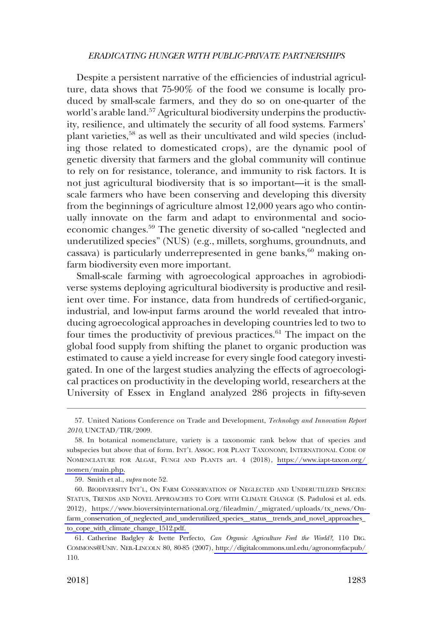Despite a persistent narrative of the efficiencies of industrial agriculture, data shows that 75-90% of the food we consume is locally produced by small-scale farmers, and they do so on one-quarter of the world's arable land.<sup>57</sup> Agricultural biodiversity underpins the productivity, resilience, and ultimately the security of all food systems. Farmers' plant varieties,<sup>58</sup> as well as their uncultivated and wild species (including those related to domesticated crops), are the dynamic pool of genetic diversity that farmers and the global community will continue to rely on for resistance, tolerance, and immunity to risk factors. It is not just agricultural biodiversity that is so important—it is the smallscale farmers who have been conserving and developing this diversity from the beginnings of agriculture almost 12,000 years ago who continually innovate on the farm and adapt to environmental and socioeconomic changes.59 The genetic diversity of so-called "neglected and underutilized species" (NUS) (e.g., millets, sorghums, groundnuts, and cassava) is particularly underrepresented in gene banks,<sup>60</sup> making onfarm biodiversity even more important.

Small-scale farming with agroecological approaches in agrobiodiverse systems deploying agricultural biodiversity is productive and resilient over time. For instance, data from hundreds of certified-organic, industrial, and low-input farms around the world revealed that introducing agroecological approaches in developing countries led to two to four times the productivity of previous practices.<sup>61</sup> The impact on the global food supply from shifting the planet to organic production was estimated to cause a yield increase for every single food category investigated. In one of the largest studies analyzing the effects of agroecological practices on productivity in the developing world, researchers at the University of Essex in England analyzed 286 projects in fifty-seven

<sup>57.</sup> United Nations Conference on Trade and Development, *Technology and Innovation Report 2010*, UNCTAD/TIR/2009.

<sup>58.</sup> In botanical nomenclature, variety is a taxonomic rank below that of species and subspecies but above that of form. INT'L ASSOC. FOR PLANT TAXONOMY, INTERNATIONAL CODE OF NOMENCLATURE FOR ALGAE, FUNGI AND PLANTS art. 4 (2018), [https://www.iapt-taxon.org/](https://www.iapt-taxon.org/nomen/main.php)  [nomen/main.php.](https://www.iapt-taxon.org/nomen/main.php)

<sup>59.</sup> Smith et al., *supra* note 52.

<sup>60.</sup> BIODIVERSITY INT'L, ON FARM CONSERVATION OF NEGLECTED AND UNDERUTILIZED SPECIES: STATUS, TRENDS AND NOVEL APPROACHES TO COPE WITH CLIMATE CHANGE (S. Padulosi et al. eds. 2012), [https://www.bioversityinternational.org/fileadmin/\\_migrated/uploads/tx\\_news/On](https://www.bioversityinternational.org/fileadmin/_migrated/uploads/tx_news/On-farm_conservation_of_neglected_and_underutilized_species__status__trends_and_novel_approaches_to_cope_with_climate_change_1512.pdf)[farm\\_conservation\\_of\\_neglected\\_and\\_underutilized\\_species\\_\\_status\\_\\_trends\\_and\\_novel\\_approache](https://www.bioversityinternational.org/fileadmin/_migrated/uploads/tx_news/On-farm_conservation_of_neglected_and_underutilized_species__status__trends_and_novel_approaches_to_cope_with_climate_change_1512.pdf)s\_ [to\\_cope\\_with\\_climate\\_change\\_1512.pdf.](https://www.bioversityinternational.org/fileadmin/_migrated/uploads/tx_news/On-farm_conservation_of_neglected_and_underutilized_species__status__trends_and_novel_approaches_to_cope_with_climate_change_1512.pdf) 

<sup>61.</sup> Catherine Badgley & Ivette Perfecto, *Can Organic Agriculture Feed the World?*, 110 DIG. COMMONS@UNIV. NEB.-LINCOLN 80, 80-85 (2007), [http://digitalcommons.unl.edu/agronomyfacpub/](http://digitalcommons.unl.edu/agronomyfacpub/110)  110.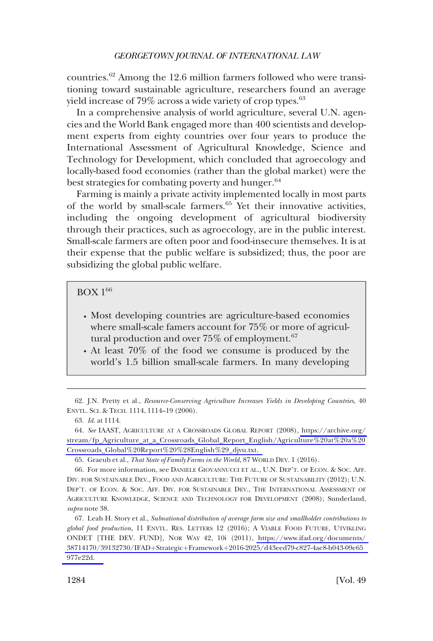countries.62 Among the 12.6 million farmers followed who were transitioning toward sustainable agriculture, researchers found an average yield increase of 79% across a wide variety of crop types. $63$ 

In a comprehensive analysis of world agriculture, several U.N. agencies and the World Bank engaged more than 400 scientists and development experts from eighty countries over four years to produce the International Assessment of Agricultural Knowledge, Science and Technology for Development, which concluded that agroecology and locally-based food economies (rather than the global market) were the best strategies for combating poverty and hunger.<sup>64</sup>

Farming is mainly a private activity implemented locally in most parts of the world by small-scale farmers.<sup>65</sup> Yet their innovative activities, including the ongoing development of agricultural biodiversity through their practices, such as agroecology, are in the public interest. Small-scale farmers are often poor and food-insecure themselves. It is at their expense that the public welfare is subsidized; thus, the poor are subsidizing the global public welfare.

## BOX 166

- � Most developing countries are agriculture-based economies where small-scale famers account for 75% or more of agricultural production and over  $75\%$  of employment.<sup>67</sup>
- � At least 70% of the food we consume is produced by the world's 1.5 billion small-scale farmers. In many developing

<sup>62.</sup> J.N. Pretty et al., *Resource-Conserving Agriculture Increases Yields in Developing Countries*, 40 ENVTL. SCI. & TECH. 1114, 1114–19 (2006).

<sup>63.</sup> *Id*. at 1114.

*See* IAAST, AGRICULTURE AT A CROSSROADS GLOBAL REPORT (2008), [https://archive.org/](https://archive.org/stream/fp_Agriculture_at_a_Crossroads_Global_Report_English/Agriculture%20at%20a%20Crossroads_Global%20Report%20%28English%29_djvu.txt)  64. [stream/fp\\_Agriculture\\_at\\_a\\_Crossroads\\_Global\\_Report\\_English/Agriculture%20at%20a%20](https://archive.org/stream/fp_Agriculture_at_a_Crossroads_Global_Report_English/Agriculture%20at%20a%20Crossroads_Global%20Report%20%28English%29_djvu.txt) [Crossroads\\_Global%20Report%20%28English%29\\_djvu.txt.](https://archive.org/stream/fp_Agriculture_at_a_Crossroads_Global_Report_English/Agriculture%20at%20a%20Crossroads_Global%20Report%20%28English%29_djvu.txt) 

<sup>65.</sup> Graeub et al., *That State of Family Farms in the World*, 87 WORLD DEV. 1 (2016).

<sup>66.</sup> For more information, see DANIELE GIOVANNUCCI ET AL., U.N. DEP'T. OF ECON. & SOC. AFF. DIV. FOR SUSTAINABLE DEV., FOOD AND AGRICULTURE: THE FUTURE OF SUSTAINABILITY (2012); U.N. DEP'T. OF ECON. & SOC. AFF. DIV. FOR SUSTAINABLE DEV., THE INTERNATIONAL ASSESSMENT OF AGRICULTURE KNOWLEDGE, SCIENCE AND TECHNOLOGY FOR DEVELOPMENT (2008); Sunderland, *supra* note 38.

Leah H. Story et al., *Subnational distribution of average farm size and smallholder contributions to*  67. *global food production*, 11 ENVTL. RES. LETTERS 12 (2016); A VIABLE FOOD FUTURE, UTVIKLING ONDET [THE DEV. FUND], NOR WAY 42, 10i (2011), [https://www.ifad.org/documents/](https://www.ifad.org/documents/38714170/39132730/IFAD�Strategic�Framework�2016-2025/d43eed79-c827-4ae8-b043-09e65977e22d)  38714170/39132730/IFAD+Strategic+Framework+2016-2025/d43eed79-c827-4ae8-b043-09e65 [977e22d.](https://www.ifad.org/documents/38714170/39132730/IFAD�Strategic�Framework�2016-2025/d43eed79-c827-4ae8-b043-09e65977e22d)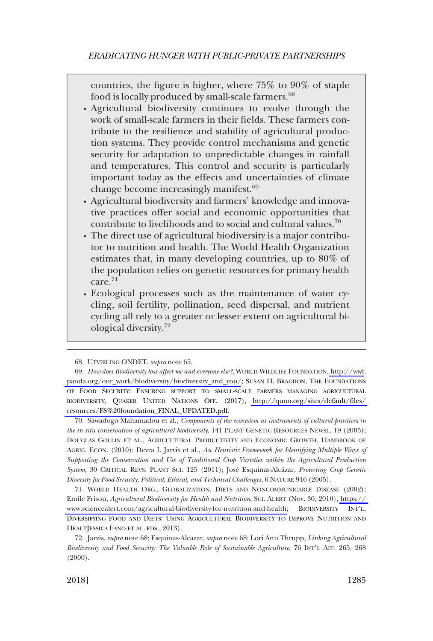countries, the figure is higher, where 75% to 90% of staple food is locally produced by small-scale farmers.<sup>68</sup>

- � Agricultural biodiversity continues to evolve through the work of small-scale farmers in their fields. These farmers contribute to the resilience and stability of agricultural production systems. They provide control mechanisms and genetic security for adaptation to unpredictable changes in rainfall and temperatures. This control and security is particularly important today as the effects and uncertainties of climate change become increasingly manifest.<sup>69</sup>
- � Agricultural biodiversity and farmers' knowledge and innovative practices offer social and economic opportunities that contribute to livelihoods and to social and cultural values.<sup>70</sup>
- � The direct use of agricultural biodiversity is a major contributor to nutrition and health. The World Health Organization estimates that, in many developing countries, up to 80% of the population relies on genetic resources for primary health care.<sup>71</sup>
- � Ecological processes such as the maintenance of water cycling, soil fertility, pollination, seed dispersal, and nutrient cycling all rely to a greater or lesser extent on agricultural biological diversity.<sup>72</sup>

70. Sawadogo Mahamadou et al., *Components of the ecosystem as instruments of cultural practices in the in situ conservation of agricultural biodiversity*, 141 PLANT GENETIC RESOURCES NEWSL. 19 (2005); DOUGLAS GOLLIN ET AL., AGRICULTURAL PRODUCTIVITY AND ECONOMIC GROWTH, HANDBOOK OF AGRIC. ECON. (2010); Devra I. Jarvis et al., *An Heuristic Framework for Identifying Multiple Ways of Supporting the Conservation and Use of Traditional Crop Varieties within the Agricultural Production System*, 30 CRITICAL REVS. PLANT SCI. 125 (2011); Jose´ Esquinas-Alca´zar, *Protecting Crop Genetic Diversity for Food Security: Political, Ethical, and Technical Challenges*, 6 NATURE 946 (2005).

71. WORLD HEALTH ORG., GLOBALIZATION, DIETS AND NONCOMMUNICABLE DISEASE (2002); Emile Frison, *Agricultural Biodiversity for Health and Nutrition*, SCI. ALERT (Nov. 30, 2010), [https://](https://www.sciencealert.com/agricultural-biodiversity-for-nutrition-and-health)  [www.sciencealert.com/agricultural-biodiversity-for-nutrition-and-health;](https://www.sciencealert.com/agricultural-biodiversity-for-nutrition-and-health) BIODIVERSITY INT'L, DIVERSIFYING FOOD AND DIETS: USING AGRICULTURAL BIODIVERSITY TO IMPROVE NUTRITION AND HEALTJESSICA FANO ET AL. EDS., 2013).

<sup>68.</sup> UTVIKLING ONDET, *supra* note 65.

*How does Biodiversity loss affect me and everyone else?*, WORLD WILDLIFE FOUNDATION[, http://wwf.](http://wwf.panda.org/our_work/biodiversity/biodiversity_and_you/) 69. [panda.org/our\\_work/biodiversity/biodiversity\\_and\\_you/](http://wwf.panda.org/our_work/biodiversity/biodiversity_and_you/); SUSAN H. BRAGDON, THE FOUNDATIONS OF FOOD SECURITY: ENSURING SUPPORT TO SMALL-SCALE FARMERS MANAGING AGRICULTURAL BIODIVERSITY, QUAKER UNITED NATIONS OFF. (2017), [http://quno.org/sites/default/files/](http://quno.org/sites/default/files/resources/FS%20foundation_FINAL_UPDATED.pdf)  [resources/FS%20foundation\\_FINAL\\_UPDATED.pdf.](http://quno.org/sites/default/files/resources/FS%20foundation_FINAL_UPDATED.pdf)

<sup>72.</sup> Jarvis, *supra* note 68; Esquinas-Alcazar*, supra* note 68; Lori Ann Thrupp, *Linking Agricultural Biodiversity and Food Security: The Valuable Role of Sustainable Agriculture*, 76 INT'L AFF. 265, 268  $(2000)$ .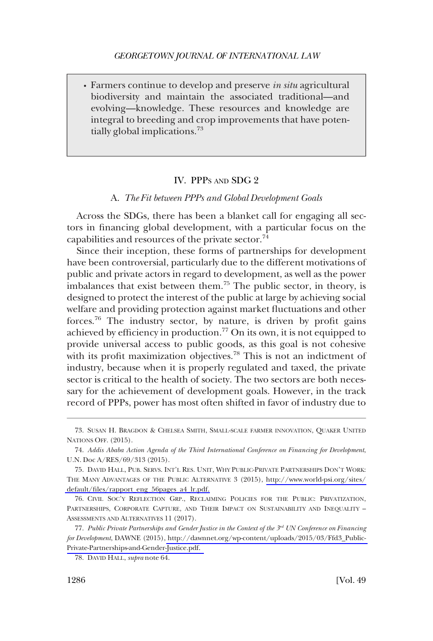<span id="page-15-0"></span>� Farmers continue to develop and preserve *in situ* agricultural biodiversity and maintain the associated traditional—and evolving—knowledge. These resources and knowledge are integral to breeding and crop improvements that have potentially global implications.<sup>73</sup>

#### IV. PPPS AND SDG 2

#### A. *The Fit between PPPs and Global Development Goals*

Across the SDGs, there has been a blanket call for engaging all sectors in financing global development, with a particular focus on the capabilities and resources of the private sector. $^{74}$ 

Since their inception, these forms of partnerships for development have been controversial, particularly due to the different motivations of public and private actors in regard to development, as well as the power imbalances that exist between them.<sup>75</sup> The public sector, in theory, is designed to protect the interest of the public at large by achieving social welfare and providing protection against market fluctuations and other forces.76 The industry sector, by nature, is driven by profit gains achieved by efficiency in production.<sup>77</sup> On its own, it is not equipped to provide universal access to public goods, as this goal is not cohesive with its profit maximization objectives.<sup>78</sup> This is not an indictment of industry, because when it is properly regulated and taxed, the private sector is critical to the health of society. The two sectors are both necessary for the achievement of development goals. However, in the track record of PPPs, power has most often shifted in favor of industry due to

<sup>73.</sup> SUSAN H. BRAGDON & CHELSEA SMITH, SMALL-SCALE FARMER INNOVATION, QUAKER UNITED NATIONS OFF. (2015).

<sup>74.</sup> *Addis Ababa Action Agenda of the Third International Conference on Financing for Development*, U.N. Doc A/RES/69/313 (2015).

<sup>75.</sup> DAVID HALL, PUB. SERVS. INT'L RES. UNIT, WHY PUBLIC-PRIVATE PARTNERSHIPS DON'T WORK: THE MANY ADVANTAGES OF THE PUBLIC ALTERNATIVE 3 (2015), [http://www.world-psi.org/sites/](http://www.world-psi.org/sites/default/files/rapport_eng_56pages_a4_lr.pdf) [default/files/rapport\\_eng\\_56pages\\_a4\\_lr.pdf.](http://www.world-psi.org/sites/default/files/rapport_eng_56pages_a4_lr.pdf) 

<sup>76.</sup> CIVIL SOC'Y REFLECTION GRP., RECLAIMING POLICIES FOR THE PUBLIC: PRIVATIZATION, PARTNERSHIPS, CORPORATE CAPTURE, AND THEIR IMPACT ON SUSTAINABILITY AND INEQUALITY – ASSESSMENTS AND ALTERNATIVES 11 (2017).

*Public Private Partnerships and Gender Justice in the Context of the 3rd UN Conference on Financing*  77. *for Development*, DAWNE (2015), [http://dawnnet.org/wp-content/uploads/2015/03/Ffd3\\_Public-](http://dawnnet.org/wp-content/uploads/2015/03/Ffd3_Public-Private-Partnerships-and-Gender-Justice.pdf)[Private-Partnerships-and-Gender-Justice.pdf.](http://dawnnet.org/wp-content/uploads/2015/03/Ffd3_Public-Private-Partnerships-and-Gender-Justice.pdf) 

<sup>78.</sup> DAVID HALL, *supra* note 64.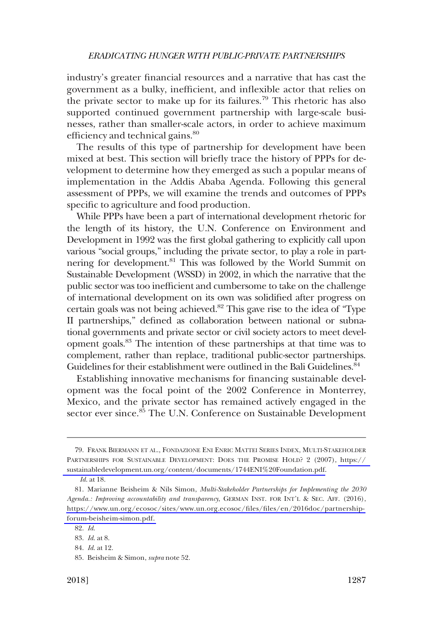industry's greater financial resources and a narrative that has cast the government as a bulky, inefficient, and inflexible actor that relies on the private sector to make up for its failures.<sup>79</sup> This rhetoric has also supported continued government partnership with large-scale businesses, rather than smaller-scale actors, in order to achieve maximum efficiency and technical gains.<sup>80</sup>

The results of this type of partnership for development have been mixed at best. This section will briefly trace the history of PPPs for development to determine how they emerged as such a popular means of implementation in the Addis Ababa Agenda. Following this general assessment of PPPs, we will examine the trends and outcomes of PPPs specific to agriculture and food production.

While PPPs have been a part of international development rhetoric for the length of its history, the U.N. Conference on Environment and Development in 1992 was the first global gathering to explicitly call upon various "social groups," including the private sector, to play a role in partnering for development.<sup>81</sup> This was followed by the World Summit on Sustainable Development (WSSD) in 2002, in which the narrative that the public sector was too inefficient and cumbersome to take on the challenge of international development on its own was solidified after progress on certain goals was not being achieved.82 This gave rise to the idea of "Type II partnerships," defined as collaboration between national or subnational governments and private sector or civil society actors to meet development goals.83 The intention of these partnerships at that time was to complement, rather than replace, traditional public-sector partnerships. Guidelines for their establishment were outlined in the Bali Guidelines.<sup>84</sup>

Establishing innovative mechanisms for financing sustainable development was the focal point of the 2002 Conference in Monterrey, Mexico, and the private sector has remained actively engaged in the sector ever since.<sup>85</sup> The U.N. Conference on Sustainable Development

FRANK BIERMANN ET AL., FONDAZIONE ENI ENRIC MATTEI SERIES INDEX, MULTI-STAKEHOLDER 79. PARTNERSHIPS FOR SUSTAINABLE DEVELOPMENT: DOES THE PROMISE HOLD? 2 (2007), [https://](https://sustainabledevelopment.un.org/content/documents/1744ENI%20Foundation.pdf)  [sustainabledevelopment.un.org/content/documents/1744ENI%20Foundation.pdf.](https://sustainabledevelopment.un.org/content/documents/1744ENI%20Foundation.pdf)

*Id*. at 18.

Marianne Beisheim & Nils Simon, *Multi-Stakeholder Partnerships for Implementing the 2030*  81. *Agenda.: Improving accountability and transparency*, GERMAN INST. FOR INT'L & SEC. AFF. (2016), [https://www.un.org/ecosoc/sites/www.un.org.ecosoc/files/files/en/2016doc/partnership](https://www.un.org/ecosoc/sites/www.un.org.ecosoc/files/files/en/2016doc/partnership-forum-beisheim-simon.pdf)[forum-beisheim-simon.pdf.](https://www.un.org/ecosoc/sites/www.un.org.ecosoc/files/files/en/2016doc/partnership-forum-beisheim-simon.pdf) 

<sup>82.</sup> *Id*.

<sup>83.</sup> *Id*. at 8.

<sup>84.</sup> *Id*. at 12.

<sup>85.</sup> Beisheim & Simon, *supra* note 52.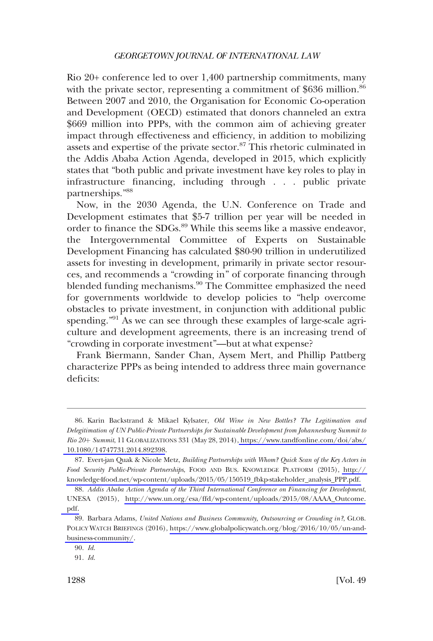Rio 20+ conference led to over 1,400 partnership commitments, many with the private sector, representing a commitment of  $$636$  million.<sup>86</sup> Between 2007 and 2010, the Organisation for Economic Co-operation and Development (OECD) estimated that donors channeled an extra \$669 million into PPPs, with the common aim of achieving greater impact through effectiveness and efficiency, in addition to mobilizing assets and expertise of the private sector.<sup>87</sup> This rhetoric culminated in the Addis Ababa Action Agenda, developed in 2015, which explicitly states that "both public and private investment have key roles to play in infrastructure financing, including through . . . public private partnerships."<sup>88</sup>

Now, in the 2030 Agenda, the U.N. Conference on Trade and Development estimates that \$5-7 trillion per year will be needed in order to finance the SDGs.<sup>89</sup> While this seems like a massive endeavor, the Intergovernmental Committee of Experts on Sustainable Development Financing has calculated \$80-90 trillion in underutilized assets for investing in development, primarily in private sector resources, and recommends a "crowding in" of corporate financing through blended funding mechanisms.<sup>90</sup> The Committee emphasized the need for governments worldwide to develop policies to "help overcome obstacles to private investment, in conjunction with additional public spending."<sup>91</sup> As we can see through these examples of large-scale agriculture and development agreements, there is an increasing trend of "crowding in corporate investment"—but at what expense?

Frank Biermann, Sander Chan, Aysem Mert, and Phillip Pattberg characterize PPPs as being intended to address three main governance deficits:

<sup>86.</sup> Karin Backstrand & Mikael Kylsater, Old Wine in New Bottles? The Legitimation and *Delegitimation of UN Public-Private Partnerships for Sustainable Development from Johannesburg Summit to Rio 20*þ *Summit*, 11 GLOBALIZATIONS 331 (May 28, 2014)[, https://www.tandfonline.com/doi/abs/](https://www.tandfonline.com/doi/abs/10.1080/14747731.2014.892398)  [10.1080/14747731.2014.892398](https://www.tandfonline.com/doi/abs/10.1080/14747731.2014.892398).

Evert-jan Quak & Nicole Metz, *Building Partnerships with Whom? Quick Scan of the Key Actors in*  87. *Food Security Public-Private Partnerships*, FOOD AND BUS. KNOWLEDGE PLATFORM (2015), [http://](http://knowledge4food.net/wp-content/uploads/2015/05/150519_fbkp-stakeholder_analysis_PPP.pdf)  [knowledge4food.net/wp-content/uploads/2015/05/150519\\_fbkp-stakeholder\\_analysis\\_PPP.pdf.](http://knowledge4food.net/wp-content/uploads/2015/05/150519_fbkp-stakeholder_analysis_PPP.pdf) 

*Addis Ababa Action Agenda of the Third International Conference on Financing for Development*, 88. UNESA (2015), [http://www.un.org/esa/ffd/wp-content/uploads/2015/08/AAAA\\_Outcome.](http://www.un.org/esa/ffd/wp-content/uploads/2015/08/AAAA_Outcome.pdf) [pdf.](http://www.un.org/esa/ffd/wp-content/uploads/2015/08/AAAA_Outcome.pdf) 

Barbara Adams, *United Nations and Business Community, Outsourcing or Crowding in?*, GLOB. 89. POLICY WATCH BRIEFINGS (2016), [https://www.globalpolicywatch.org/blog/2016/10/05/un-and](https://www.globalpolicywatch.org/blog/2016/10/05/un-and-business-community/)[business-community/](https://www.globalpolicywatch.org/blog/2016/10/05/un-and-business-community/).

<sup>90.</sup> *Id*.

<sup>91.</sup> *Id*.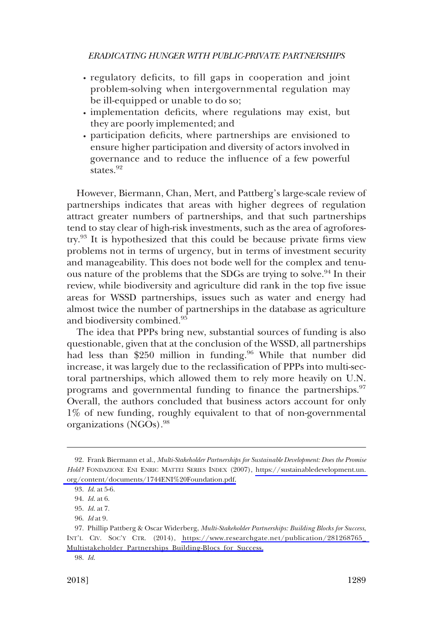- regulatory deficits, to fill gaps in cooperation and joint problem-solving when intergovernmental regulation may be ill-equipped or unable to do so;
- · implementation deficits, where regulations may exist, but they are poorly implemented; and
- participation deficits, where partnerships are envisioned to � ensure higher participation and diversity of actors involved in governance and to reduce the influence of a few powerful states.<sup>92</sup>

However, Biermann, Chan, Mert, and Pattberg's large-scale review of partnerships indicates that areas with higher degrees of regulation attract greater numbers of partnerships, and that such partnerships tend to stay clear of high-risk investments, such as the area of agroforestry.93 It is hypothesized that this could be because private firms view problems not in terms of urgency, but in terms of investment security and manageability. This does not bode well for the complex and tenuous nature of the problems that the SDGs are trying to solve.<sup>94</sup> In their review, while biodiversity and agriculture did rank in the top five issue areas for WSSD partnerships, issues such as water and energy had almost twice the number of partnerships in the database as agriculture and biodiversity combined.<sup>95</sup>

The idea that PPPs bring new, substantial sources of funding is also questionable, given that at the conclusion of the WSSD, all partnerships had less than \$250 million in funding.<sup>96</sup> While that number did increase, it was largely due to the reclassification of PPPs into multi-sectoral partnerships, which allowed them to rely more heavily on U.N. programs and governmental funding to finance the partnerships.<sup>97</sup> Overall, the authors concluded that business actors account for only 1% of new funding, roughly equivalent to that of non-governmental organizations (NGOs).<sup>98</sup>

Frank Biermann et al., *Multi-Stakeholder Partnerships for Sustainable Development: Does the Promise*  92. *Hold?* FONDAZIONE ENI ENRIC MATTEI SERIES INDEX (2007), [https://sustainabledevelopment.un.](https://sustainabledevelopment.un.org/content/documents/1744ENI%20Foundation.pdf)  [org/content/documents/1744ENI%20Foundation.pdf.](https://sustainabledevelopment.un.org/content/documents/1744ENI%20Foundation.pdf)

<sup>93.</sup> *Id*. at 5-6.

<sup>94.</sup> *Id*. at 6.

<sup>95.</sup> *Id*. at 7.

<sup>96.</sup> *Id* at 9.

<sup>97.</sup> Phillip Pattberg & Oscar Widerberg, *Multi-Stakeholder Partnerships: Building Blocks for Success*, INT'L CIV. SOC'Y CTR. (2014), [https://www.researchgate.net/publication/281268765\\_](https://www.researchgate.net/publication/281268765_Multistakeholder_Partnerships_Building-Blocs_for_Success)  [Multistakeholder\\_Partnerships\\_Building-Blocs\\_for\\_Success.](https://www.researchgate.net/publication/281268765_Multistakeholder_Partnerships_Building-Blocs_for_Success)

<sup>98.</sup> *Id*.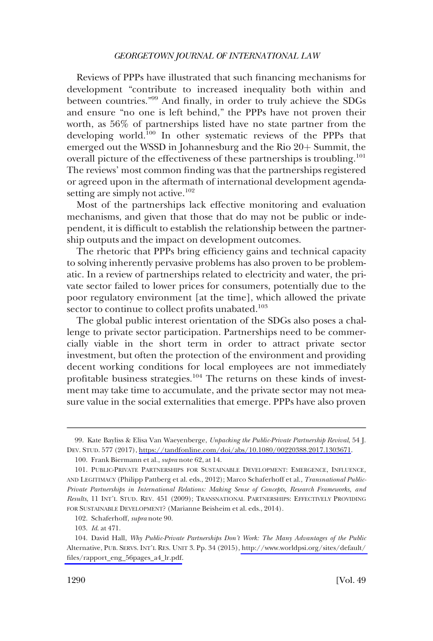Reviews of PPPs have illustrated that such financing mechanisms for development "contribute to increased inequality both within and between countries."<sup>99</sup> And finally, in order to truly achieve the SDGs and ensure "no one is left behind," the PPPs have not proven their worth, as 56% of partnerships listed have no state partner from the developing world.100 In other systematic reviews of the PPPs that emerged out the WSSD in Johannesburg and the Rio  $20+$  Summit, the overall picture of the effectiveness of these partnerships is troubling.<sup>101</sup> The reviews' most common finding was that the partnerships registered or agreed upon in the aftermath of international development agendasetting are simply not active. $102$ 

Most of the partnerships lack effective monitoring and evaluation mechanisms, and given that those that do may not be public or independent, it is difficult to establish the relationship between the partnership outputs and the impact on development outcomes.

The rhetoric that PPPs bring efficiency gains and technical capacity to solving inherently pervasive problems has also proven to be problematic. In a review of partnerships related to electricity and water, the private sector failed to lower prices for consumers, potentially due to the poor regulatory environment [at the time], which allowed the private sector to continue to collect profits unabated.<sup>103</sup>

The global public interest orientation of the SDGs also poses a challenge to private sector participation. Partnerships need to be commercially viable in the short term in order to attract private sector investment, but often the protection of the environment and providing decent working conditions for local employees are not immediately profitable business strategies.<sup>104</sup> The returns on these kinds of investment may take time to accumulate, and the private sector may not measure value in the social externalities that emerge. PPPs have also proven

<sup>99.</sup> Kate Bayliss & Elisa Van Waeyenberge, *Unpacking the Public-Private Partnership Revival*, 54 J. DEV. STUD. 577 (2017),<https://tandfonline.com/doi/abs/10.1080/00220388.2017.1303671>.

<sup>100.</sup> Frank Biermann et al., *supra* note 62, at 14.

<sup>101.</sup> PUBLIC-PRIVATE PARTNERSHIPS FOR SUSTAINABLE DEVELOPMENT: EMERGENCE, INFLUENCE, AND LEGITIMACY (Philipp Pattberg et al. eds., 2012); Marco Schaferhoff et al., *Transnational Public-Private Partnerships in International Relations: Making Sense of Concepts, Research Frameworks, and Results*, 11 INT'L STUD. REV. 451 (2009); TRANSNATIONAL PARTNERSHIPS: EFFECTIVELY PROVIDING FOR SUSTAINABLE DEVELOPMENT? (Marianne Beisheim et al. eds., 2014).

<sup>102.</sup> Schaferhoff, *supra* note 90.

<sup>103.</sup> *Id*. at 471.

<sup>104.</sup> David Hall, *Why Public-Private Partnerships Don't Work: The Many Advantages of the Public* Alternative, PUB. SERVS. INT'L RES. UNIT 3. Pp. 34 (2015), [http://www.worldpsi.org/sites/default/](http://www.worldpsi.org/sites/default/files/rapport_eng_56pages_a4_lr.pd)  [files/rapport\\_eng\\_56pages\\_a4\\_lr.pdf](http://www.worldpsi.org/sites/default/files/rapport_eng_56pages_a4_lr.pd).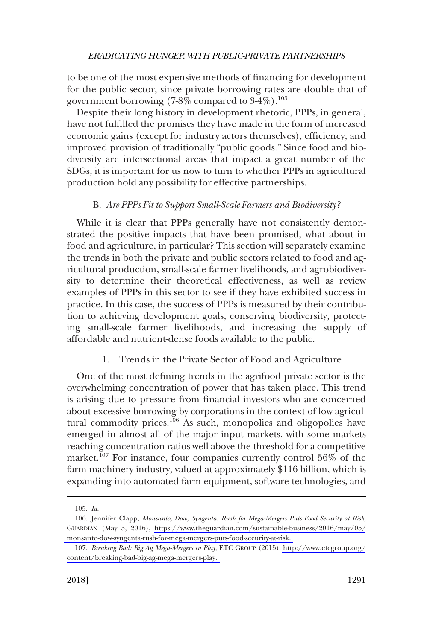<span id="page-20-0"></span>to be one of the most expensive methods of financing for development for the public sector, since private borrowing rates are double that of government borrowing (7-8% compared to  $3-4\%$ ).<sup>105</sup>

Despite their long history in development rhetoric, PPPs, in general, have not fulfilled the promises they have made in the form of increased economic gains (except for industry actors themselves), efficiency, and improved provision of traditionally "public goods." Since food and biodiversity are intersectional areas that impact a great number of the SDGs, it is important for us now to turn to whether PPPs in agricultural production hold any possibility for effective partnerships.

## B. *Are PPPs Fit to Support Small-Scale Farmers and Biodiversity?*

While it is clear that PPPs generally have not consistently demonstrated the positive impacts that have been promised, what about in food and agriculture, in particular? This section will separately examine the trends in both the private and public sectors related to food and agricultural production, small-scale farmer livelihoods, and agrobiodiversity to determine their theoretical effectiveness, as well as review examples of PPPs in this sector to see if they have exhibited success in practice. In this case, the success of PPPs is measured by their contribution to achieving development goals, conserving biodiversity, protecting small-scale farmer livelihoods, and increasing the supply of affordable and nutrient-dense foods available to the public.

## 1. Trends in the Private Sector of Food and Agriculture

One of the most defining trends in the agrifood private sector is the overwhelming concentration of power that has taken place. This trend is arising due to pressure from financial investors who are concerned about excessive borrowing by corporations in the context of low agricultural commodity prices.<sup>106</sup> As such, monopolies and oligopolies have emerged in almost all of the major input markets, with some markets reaching concentration ratios well above the threshold for a competitive market.<sup>107</sup> For instance, four companies currently control 56% of the farm machinery industry, valued at approximately \$116 billion, which is expanding into automated farm equipment, software technologies, and

<sup>105.</sup> *Id*.

Jennifer Clapp, *Monsanto, Dow, Syngenta: Rush for Mega-Mergers Puts Food Security at Risk*, 106. GUARDIAN (May 5, 2016), [https://www.theguardian.com/sustainable-business/2016/may/05/](https://www.theguardian.com/sustainable-business/2016/may/05/monsanto-dow-syngenta-rush-for-mega-mergers-puts-food-security-at-risk) [monsanto-dow-syngenta-rush-for-mega-mergers-puts-food-security-at-risk.](https://www.theguardian.com/sustainable-business/2016/may/05/monsanto-dow-syngenta-rush-for-mega-mergers-puts-food-security-at-risk) 

*Breaking Bad: Big Ag Mega-Mergers in Play*, ETC GROUP (2015), [http://www.etcgroup.org/](http://www.etcgroup.org/content/breaking-bad-big-ag-mega-mergers-play) 107. [content/breaking-bad-big-ag-mega-mergers-play.](http://www.etcgroup.org/content/breaking-bad-big-ag-mega-mergers-play)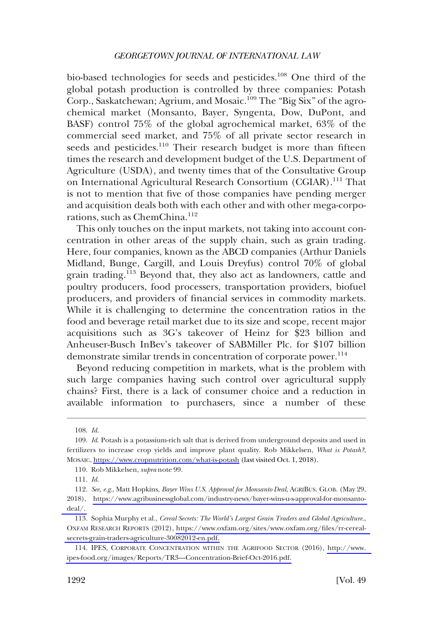bio-based technologies for seeds and pesticides.108 One third of the global potash production is controlled by three companies: Potash Corp., Saskatchewan; Agrium, and Mosaic.<sup>109</sup> The "Big Six" of the agrochemical market (Monsanto, Bayer, Syngenta, Dow, DuPont, and BASF) control 75% of the global agrochemical market, 63% of the commercial seed market, and 75% of all private sector research in seeds and pesticides.<sup>110</sup> Their research budget is more than fifteen times the research and development budget of the U.S. Department of Agriculture (USDA), and twenty times that of the Consultative Group on International Agricultural Research Consortium (CGIAR).111 That is not to mention that five of those companies have pending merger and acquisition deals both with each other and with other mega-corporations, such as ChemChina.<sup>112</sup>

This only touches on the input markets, not taking into account concentration in other areas of the supply chain, such as grain trading. Here, four companies, known as the ABCD companies (Arthur Daniels Midland, Bunge, Cargill, and Louis Dreyfus) control 70% of global grain trading.<sup>113</sup> Beyond that, they also act as landowners, cattle and poultry producers, food processers, transportation providers, biofuel producers, and providers of financial services in commodity markets. While it is challenging to determine the concentration ratios in the food and beverage retail market due to its size and scope, recent major acquisitions such as 3G's takeover of Heinz for \$23 billion and Anheuser-Busch InBev's takeover of SABMiller Plc. for \$107 billion demonstrate similar trends in concentration of corporate power.<sup>114</sup>

Beyond reducing competition in markets, what is the problem with such large companies having such control over agricultural supply chains? First, there is a lack of consumer choice and a reduction in available information to purchasers, since a number of these

<sup>108.</sup> *Id*.

<sup>109.</sup> *Id.* Potash is a potassium-rich salt that is derived from underground deposits and used in fertilizers to increase crop yields and improve plant quality. Rob Mikkelsen, *What is Potash?*, MOSAIC,<https://www.cropnutrition.com/what-is-potash>(last visited Oct. 1, 2018).

<sup>110.</sup> Rob Mikkelsen, *supra* note 99.

<sup>111.</sup> *Id*.

*See, e.g*., Matt Hopkins, *Bayer Wins U.S. Approval for Monsanto Deal*, AGRIBUS. GLOB. (May 29, 112. 2018), [https://www.agribusinessglobal.com/industry-news/bayer-wins-u-s-approval-for-monsanto](https://www.agribusinessglobal.com/industry-news/bayer-wins-u-s-approval-for-monsanto-deal/)[deal/.](https://www.agribusinessglobal.com/industry-news/bayer-wins-u-s-approval-for-monsanto-deal/) 

<sup>113.</sup> Sophia Murphy et al., *Cereal Secrets: The World's Largest Grain Traders and Global Agriculture.*, OXFAM RESEARCH REPORTS (2012), [https://www.oxfam.org/sites/www.oxfam.org/files/rr-cereal](https://www.oxfam.org/sites/www.oxfam.org/files/rr-cereal-secrets-grain-traders-agriculture-30082012-en.pdf)[secrets-grain-traders-agriculture-30082012-en.pdf.](https://www.oxfam.org/sites/www.oxfam.org/files/rr-cereal-secrets-grain-traders-agriculture-30082012-en.pdf) 

<sup>114.</sup> IPES, CORPORATE CONCENTRATION WITHIN THE AGRIFOOD SECTOR (2016), http://www. [ipes-food.org/images/Reports/TR3—Concentration-Brief-Oct-2016.pdf.](http://www.ipes-food.org/images/Reports/TR3%E2%80%94Concentration-Brief-Oct-2016.pdf)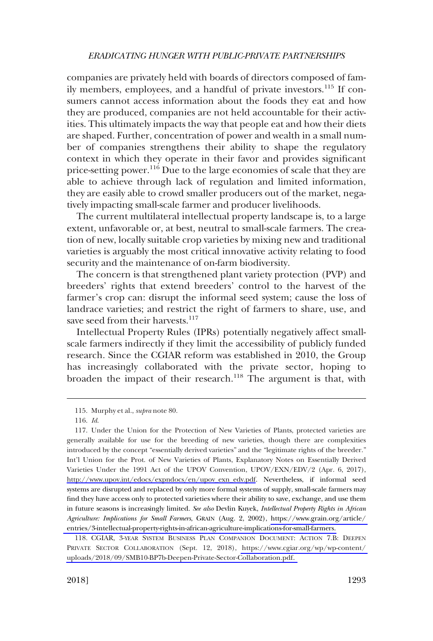companies are privately held with boards of directors composed of family members, employees, and a handful of private investors.<sup>115</sup> If consumers cannot access information about the foods they eat and how they are produced, companies are not held accountable for their activities. This ultimately impacts the way that people eat and how their diets are shaped. Further, concentration of power and wealth in a small number of companies strengthens their ability to shape the regulatory context in which they operate in their favor and provides significant price-setting power.<sup>116</sup> Due to the large economies of scale that they are able to achieve through lack of regulation and limited information, they are easily able to crowd smaller producers out of the market, negatively impacting small-scale farmer and producer livelihoods.

The current multilateral intellectual property landscape is, to a large extent, unfavorable or, at best, neutral to small-scale farmers. The creation of new, locally suitable crop varieties by mixing new and traditional varieties is arguably the most critical innovative activity relating to food security and the maintenance of on-farm biodiversity.

The concern is that strengthened plant variety protection (PVP) and breeders' rights that extend breeders' control to the harvest of the farmer's crop can: disrupt the informal seed system; cause the loss of landrace varieties; and restrict the right of farmers to share, use, and save seed from their harvests.<sup>117</sup>

Intellectual Property Rules (IPRs) potentially negatively affect smallscale farmers indirectly if they limit the accessibility of publicly funded research. Since the CGIAR reform was established in 2010, the Group has increasingly collaborated with the private sector, hoping to broaden the impact of their research.<sup>118</sup> The argument is that, with

<sup>115.</sup> Murphy et al., *supra* note 80.

<sup>116.</sup> *Id*.

<sup>117.</sup> Under the Union for the Protection of New Varieties of Plants, protected varieties are generally available for use for the breeding of new varieties, though there are complexities introduced by the concept "essentially derived varieties" and the "legitimate rights of the breeder." Int'l Union for the Prot. of New Varieties of Plants, Explanatory Notes on Essentially Derived Varieties Under the 1991 Act of the UPOV Convention, UPOV/EXN/EDV/2 (Apr. 6, 2017), [http://www.upov.int/edocs/expndocs/en/upov\\_exn\\_edv.pdf](http://www.upov.int/edocs/expndocs/en/upov_exn_edv.pdf). Nevertheless, if informal seed systems are disrupted and replaced by only more formal systems of supply, small-scale farmers may find they have access only to protected varieties where their ability to save, exchange, and use them in future seasons is increasingly limited. *See also* Devlin Kuyek, *Intellectual Property Rights in African Agriculture: Implications for Small Farmers*, GRAIN (Aug. 2, 2002), [https://www.grain.org/article/](https://www.grain.org/article/entries/3-intellectual-property-rights-in-african-agriculture-implications-for-small-farmers)  [entries/3-intellectual-property-rights-in-african-agriculture-implications-for-small-farmers.](https://www.grain.org/article/entries/3-intellectual-property-rights-in-african-agriculture-implications-for-small-farmers) 

<sup>118.</sup> CGIAR, 3-YEAR SYSTEM BUSINESS PLAN COMPANION DOCUMENT: ACTION 7.B: DEEPEN PRIVATE SECTOR COLLABORATION (Sept. 12, 2018), [https://www.cgiar.org/wp/wp-content/](https://www.cgiar.org/wp/wp-content/uploads/2018/09/SMB10-BP7b-Deepen-Private-Sector-Collaboration.pdf)  [uploads/2018/09/SMB10-BP7b-Deepen-Private-Sector-Collaboration.pdf.](https://www.cgiar.org/wp/wp-content/uploads/2018/09/SMB10-BP7b-Deepen-Private-Sector-Collaboration.pdf)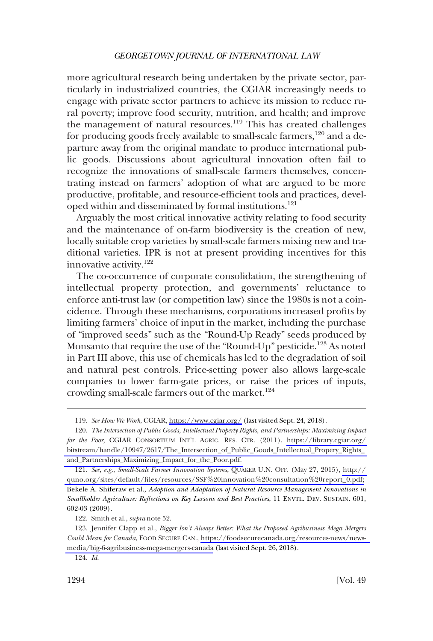more agricultural research being undertaken by the private sector, particularly in industrialized countries, the CGIAR increasingly needs to engage with private sector partners to achieve its mission to reduce rural poverty; improve food security, nutrition, and health; and improve the management of natural resources.<sup>119</sup> This has created challenges for producing goods freely available to small-scale farmers,<sup>120</sup> and a departure away from the original mandate to produce international public goods. Discussions about agricultural innovation often fail to recognize the innovations of small-scale farmers themselves, concentrating instead on farmers' adoption of what are argued to be more productive, profitable, and resource-efficient tools and practices, developed within and disseminated by formal institutions.<sup>121</sup>

Arguably the most critical innovative activity relating to food security and the maintenance of on-farm biodiversity is the creation of new, locally suitable crop varieties by small-scale farmers mixing new and traditional varieties. IPR is not at present providing incentives for this innovative activity.122

The co-occurrence of corporate consolidation, the strengthening of intellectual property protection, and governments' reluctance to enforce anti-trust law (or competition law) since the 1980s is not a coincidence. Through these mechanisms, corporations increased profits by limiting farmers' choice of input in the market, including the purchase of "improved seeds" such as the "Round-Up Ready" seeds produced by Monsanto that require the use of the "Round-Up" pesticide.<sup>123</sup> As noted in Part III above, this use of chemicals has led to the degradation of soil and natural pest controls. Price-setting power also allows large-scale companies to lower farm-gate prices, or raise the prices of inputs, crowding small-scale farmers out of the market.<sup>124</sup>

122. Smith et al., *supra* note 52.

*See How We Work*, CGIAR,<https://www.cgiar.org/> (last visited Sept. 24, 2018). 119.

*The Intersection of Public Goods, Intellectual Property Rights, and Partnerships: Maximizing Impact*  120. *for the Poor*, CGIAR CONSORTIUM INT'L AGRIC. RES. CTR. (2011), [https://library.cgiar.org/](https://library.cgiar.org/bitstream/handle/10947/2617/The_Intersection_of_Public_Goods_Intellectual_Propery_Rights_and_Partnerships_Maximizing_Impact_for_the_Poor.pdf)  [bitstream/handle/10947/2617/The\\_Intersection\\_of\\_Public\\_Goods\\_Intellectual\\_Propery\\_Rights\\_](https://library.cgiar.org/bitstream/handle/10947/2617/The_Intersection_of_Public_Goods_Intellectual_Propery_Rights_and_Partnerships_Maximizing_Impact_for_the_Poor.pdf)  [and\\_Partnerships\\_Maximizing\\_Impact\\_for\\_the\\_Poor.pdf.](https://library.cgiar.org/bitstream/handle/10947/2617/The_Intersection_of_Public_Goods_Intellectual_Propery_Rights_and_Partnerships_Maximizing_Impact_for_the_Poor.pdf) 

*See, e.g*., *Small-Scale Farmer Innovation Systems*, QUAKER U.N. OFF. (May 27, 2015), [http://](http://quno.org/sites/default/files/resources/SSF%20innovation%20consultation%20report_0.pdf)  121. [quno.org/sites/default/files/resources/SSF%20innovation%20consultation%20report\\_0.pdf;](http://quno.org/sites/default/files/resources/SSF%20innovation%20consultation%20report_0.pdf) Bekele A. Shiferaw et al., *Adoption and Adaptation of Natural Resource Management Innovations in Smallholder Agriculture: Reflections on Key Lessons and Best Practices*, 11 ENVTL. DEV. SUSTAIN. 601, 602-03 (2009).

<sup>123.</sup> Jennifer Clapp et al., *Bigger Isn't Always Better: What the Proposed Agribusiness Mega Mergers Could Mean for Canada*, FOOD SECURE CAN., [https://foodsecurecanada.org/resources-news/news](https://foodsecurecanada.org/resources-news/news-media/big-6-agribusiness-mega-mergers-canada)[media/big-6-agribusiness-mega-mergers-canada](https://foodsecurecanada.org/resources-news/news-media/big-6-agribusiness-mega-mergers-canada) (last visited Sept. 26, 2018).

<sup>124.</sup> *Id*.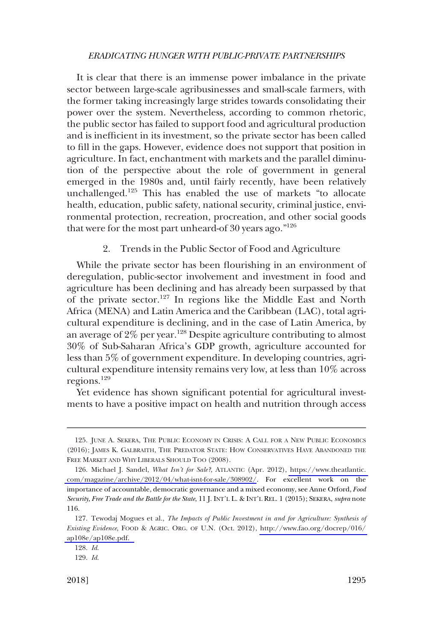<span id="page-24-0"></span>It is clear that there is an immense power imbalance in the private sector between large-scale agribusinesses and small-scale farmers, with the former taking increasingly large strides towards consolidating their power over the system. Nevertheless, according to common rhetoric, the public sector has failed to support food and agricultural production and is inefficient in its investment, so the private sector has been called to fill in the gaps. However, evidence does not support that position in agriculture. In fact, enchantment with markets and the parallel diminution of the perspective about the role of government in general emerged in the 1980s and, until fairly recently, have been relatively unchallenged.125 This has enabled the use of markets "to allocate health, education, public safety, national security, criminal justice, environmental protection, recreation, procreation, and other social goods that were for the most part unheard-of 30 years ago.  $126$ 

2. Trends in the Public Sector of Food and Agriculture

While the private sector has been flourishing in an environment of deregulation, public-sector involvement and investment in food and agriculture has been declining and has already been surpassed by that of the private sector.<sup>127</sup> In regions like the Middle East and North Africa (MENA) and Latin America and the Caribbean (LAC), total agricultural expenditure is declining, and in the case of Latin America, by an average of  $2\%$  per year.<sup>128</sup> Despite agriculture contributing to almost 30% of Sub-Saharan Africa's GDP growth, agriculture accounted for less than 5% of government expenditure. In developing countries, agricultural expenditure intensity remains very low, at less than 10% across regions.129

Yet evidence has shown significant potential for agricultural investments to have a positive impact on health and nutrition through access

<sup>125.</sup> JUNE A. SEKERA, THE PUBLIC ECONOMY IN CRISIS: A CALL FOR A NEW PUBLIC ECONOMICS (2016); JAMES K. GALBRAITH, THE PREDATOR STATE: HOW CONSERVATIVES HAVE ABANDONED THE FREE MARKET AND WHY LIBERALS SHOULD TOO (2008).

<sup>126.</sup> Michael J. Sandel, *What Isn't for Sale?*, ATLANTIC (Apr. 2012), https://www.theatlantic. [com/magazine/archive/2012/04/what-isnt-for-sale/308902/](https://www.theatlantic.com/magazine/archive/2012/04/what-isnt-for-sale/308902/). For excellent work on the importance of accountable, democratic governance and a mixed economy, see Anne Orford, *Food Security, Free Trade and the Battle for the State*, 11 J. INT'L L. & INT'L REL. 1 (2015); SEKERA, *supra* note 116.

<sup>127.</sup> Tewodaj Mogues et al., *The Impacts of Public Investment in and for Agriculture: Synthesis of Existing Evidence*, FOOD & AGRIC. ORG. OF U.N. (Oct. 2012), [http://www.fao.org/docrep/016/](http://www.fao.org/docrep/016/ap108e/ap108e.pdf)  [ap108e/ap108e.pdf.](http://www.fao.org/docrep/016/ap108e/ap108e.pdf) 

<sup>128.</sup> *Id*.

<sup>129.</sup> *Id*.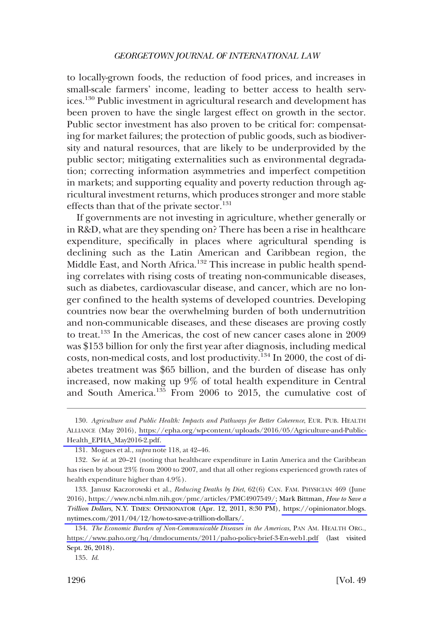to locally-grown foods, the reduction of food prices, and increases in small-scale farmers' income, leading to better access to health services.130 Public investment in agricultural research and development has been proven to have the single largest effect on growth in the sector. Public sector investment has also proven to be critical for: compensating for market failures; the protection of public goods, such as biodiversity and natural resources, that are likely to be underprovided by the public sector; mitigating externalities such as environmental degradation; correcting information asymmetries and imperfect competition in markets; and supporting equality and poverty reduction through agricultural investment returns, which produces stronger and more stable effects than that of the private sector. $131$ 

If governments are not investing in agriculture, whether generally or in R&D, what are they spending on? There has been a rise in healthcare expenditure, specifically in places where agricultural spending is declining such as the Latin American and Caribbean region, the Middle East, and North Africa.<sup>132</sup> This increase in public health spending correlates with rising costs of treating non-communicable diseases, such as diabetes, cardiovascular disease, and cancer, which are no longer confined to the health systems of developed countries. Developing countries now bear the overwhelming burden of both undernutrition and non-communicable diseases, and these diseases are proving costly to treat.133 In the Americas, the cost of new cancer cases alone in 2009 was \$153 billion for only the first year after diagnosis, including medical costs, non-medical costs, and lost productivity.<sup>134</sup> In 2000, the cost of diabetes treatment was \$65 billion, and the burden of disease has only increased, now making up 9% of total health expenditure in Central and South America.135 From 2006 to 2015, the cumulative cost of

*Agriculture and Public Health: Impacts and Pathways for Better Coherence*, EUR. PUB. HEALTH 130. ALLIANCE (May 2016), [https://epha.org/wp-content/uploads/2016/05/Agriculture-and-Public-](https://epha.org/wp-content/uploads/2016/05/Agriculture-and-Public-Health_EPHA_May2016-2.pdf)[Health\\_EPHA\\_May2016-2.pdf.](https://epha.org/wp-content/uploads/2016/05/Agriculture-and-Public-Health_EPHA_May2016-2.pdf) 

<sup>131.</sup> Mogues et al., *supra* note 118, at 42–46.

<sup>132.</sup> *See id*. at 20–21 (noting that healthcare expenditure in Latin America and the Caribbean has risen by about 23% from 2000 to 2007, and that all other regions experienced growth rates of health expenditure higher than 4.9%).

<sup>133.</sup> Janusz Kaczorowski et al., *Reducing Deaths by Diet*, 62(6) CAN. FAM. PHYSICIAN 469 (June 2016), [https://www.ncbi.nlm.nih.gov/pmc/articles/PMC4907549/;](https://www.ncbi.nlm.nih.gov/pmc/articles/PMC4907549) Mark Bittman, *How to Save a Trillion Dollars*, N.Y. TIMES: OPINIONATOR (Apr. 12, 2011, 8:30 PM), [https://opinionator.blogs.](https://opinionator.blogs.nytimes.com/2011/04/12/how-to-save-a-trillion-dollars/)  [nytimes.com/2011/04/12/how-to-save-a-trillion-dollars/.](https://opinionator.blogs.nytimes.com/2011/04/12/how-to-save-a-trillion-dollars/) 

*The Economic Burden of Non-Communicable Diseases in the Americas*, PAN AM. HEALTH ORG., 134. <https://www.paho.org/hq/dmdocuments/2011/paho-policy-brief-3-En-web1.pdf>(last visited Sept. 26, 2018).

<sup>135.</sup> *Id*.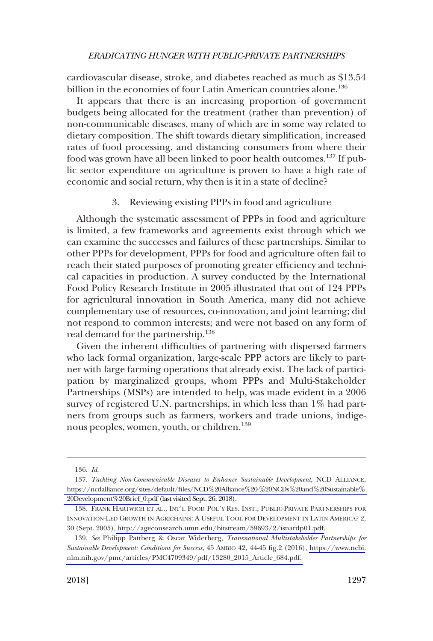<span id="page-26-0"></span>cardiovascular disease, stroke, and diabetes reached as much as \$13.54 billion in the economies of four Latin American countries alone.<sup>136</sup>

It appears that there is an increasing proportion of government budgets being allocated for the treatment (rather than prevention) of non-communicable diseases, many of which are in some way related to dietary composition. The shift towards dietary simplification, increased rates of food processing, and distancing consumers from where their food was grown have all been linked to poor health outcomes.<sup>137</sup> If public sector expenditure on agriculture is proven to have a high rate of economic and social return, why then is it in a state of decline?

#### 3. Reviewing existing PPPs in food and agriculture

Although the systematic assessment of PPPs in food and agriculture is limited, a few frameworks and agreements exist through which we can examine the successes and failures of these partnerships. Similar to other PPPs for development, PPPs for food and agriculture often fail to reach their stated purposes of promoting greater efficiency and technical capacities in production. A survey conducted by the International Food Policy Research Institute in 2005 illustrated that out of 124 PPPs for agricultural innovation in South America, many did not achieve complementary use of resources, co-innovation, and joint learning; did not respond to common interests; and were not based on any form of real demand for the partnership.<sup>138</sup>

Given the inherent difficulties of partnering with dispersed farmers who lack formal organization, large-scale PPP actors are likely to partner with large farming operations that already exist. The lack of participation by marginalized groups, whom PPPs and Multi-Stakeholder Partnerships (MSPs) are intended to help, was made evident in a 2006 survey of registered U.N. partnerships, in which less than 1% had partners from groups such as farmers, workers and trade unions, indigenous peoples, women, youth, or children.<sup>139</sup>

<sup>136.</sup> *Id*.

<sup>137.</sup> Tackling Non-Communicable Diseases to Enhance Sustainable Development, NCD ALLIANCE, [https://ncdalliance.org/sites/default/files/NCD%20Alliance%20-%20NCDs%20and%20Sustainable%](https://ncdalliance.org/sites/default/files/NCD%20Alliance%20-%20NCDs%20and%20Sustainable%20Development%20Brief_0.pdf)  [20Development%20Brief\\_0.pdf](https://ncdalliance.org/sites/default/files/NCD%20Alliance%20-%20NCDs%20and%20Sustainable%20Development%20Brief_0.pdf) (last visited Sept. 26, 2018).

<sup>138.</sup> FRANK HARTWICH ET AL., INT'L FOOD POL'Y RES. INST., PUBLIC-PRIVATE PARTNERSHIPS FOR INNOVATION-LED GROWTH IN AGRICHAINS: A USEFUL TOOL FOR DEVELOPMENT IN LATIN AMERICA? 2, 30 (Sept. 2005), [http://ageconsearch.umn.edu/bitstream/59693/2/isnardp01.pdf.](http://ageconsearch.umn.edu/bitstream/59693/2/isnardp01.pdf)

<sup>139.</sup> *See* Philipp Pattberg & Oscar Widerberg, *Transnational Multistakeholder Partnerships for Sustainable Development: Conditions for Success*, 45 AMBIO 42, 44-45 fig.2 (2016), [https://www.ncbi.](https://www.ncbi.nlm.nih.gov/pmc/articles/PMC4709349/pdf/13280_2015_Article_684.pdf) [nlm.nih.gov/pmc/articles/PMC4709349/pdf/13280\\_2015\\_Article\\_684.pdf.](https://www.ncbi.nlm.nih.gov/pmc/articles/PMC4709349/pdf/13280_2015_Article_684.pdf)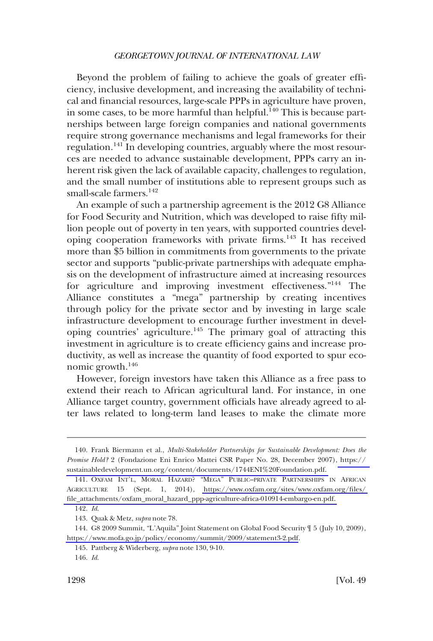Beyond the problem of failing to achieve the goals of greater efficiency, inclusive development, and increasing the availability of technical and financial resources, large-scale PPPs in agriculture have proven, in some cases, to be more harmful than helpful.<sup>140</sup> This is because partnerships between large foreign companies and national governments require strong governance mechanisms and legal frameworks for their regulation.<sup>141</sup> In developing countries, arguably where the most resources are needed to advance sustainable development, PPPs carry an inherent risk given the lack of available capacity, challenges to regulation, and the small number of institutions able to represent groups such as small-scale farmers.<sup>142</sup>

An example of such a partnership agreement is the 2012 G8 Alliance for Food Security and Nutrition, which was developed to raise fifty million people out of poverty in ten years, with supported countries developing cooperation frameworks with private firms.143 It has received more than \$5 billion in commitments from governments to the private sector and supports "public-private partnerships with adequate emphasis on the development of infrastructure aimed at increasing resources for agriculture and improving investment effectiveness."<sup>144</sup> The Alliance constitutes a "mega" partnership by creating incentives through policy for the private sector and by investing in large scale infrastructure development to encourage further investment in developing countries' agriculture.145 The primary goal of attracting this investment in agriculture is to create efficiency gains and increase productivity, as well as increase the quantity of food exported to spur economic growth.<sup>146</sup>

However, foreign investors have taken this Alliance as a free pass to extend their reach to African agricultural land. For instance, in one Alliance target country, government officials have already agreed to alter laws related to long-term land leases to make the climate more

<sup>140.</sup> Frank Biermann et al., *Multi-Stakeholder Partnerships for Sustainable Development: Does the Promise Hold?* 2 (Fondazione Eni Enrico Mattei CSR Paper No. 28, December 2007), [https://](https://sustainabledevelopment.un.org/content/documents/1744ENI%20Foundation.pdf)  [sustainabledevelopment.un.org/content/documents/1744ENI%20Foundation.pdf.](https://sustainabledevelopment.un.org/content/documents/1744ENI%20Foundation.pdf) 

<sup>141.</sup> OXFAM INT'L, MORAL HAZARD? "MEGA" PUBLIC-PRIVATE PARTNERSHIPS IN AFRICAN AGRICULTURE 15 (Sept. 1, 2014), [https://www.oxfam.org/sites/www.oxfam.org/files/](https://www.oxfam.org/sites/www.oxfam.org/files/file_attachments/oxfam_moral_hazard_ppp-agriculture-africa-010914-embargo-en.pdf)  [file\\_attachments/oxfam\\_moral\\_hazard\\_ppp-agriculture-africa-010914-embargo-en.pdf.](https://www.oxfam.org/sites/www.oxfam.org/files/file_attachments/oxfam_moral_hazard_ppp-agriculture-africa-010914-embargo-en.pdf) 

<sup>142.</sup> *Id*.

<sup>143.</sup> Quak & Metz, *supra* note 78.

<sup>144.</sup> G8 2009 Summit, "L'Aquila" Joint Statement on Global Food Security  $\parallel$  5 (July 10, 2009), <https://www.mofa.go.jp/policy/economy/summit/2009/statement3-2.pdf>.

<sup>145.</sup> Pattberg & Widerberg, *supra* note 130, 9-10.

<sup>146.</sup> *Id*.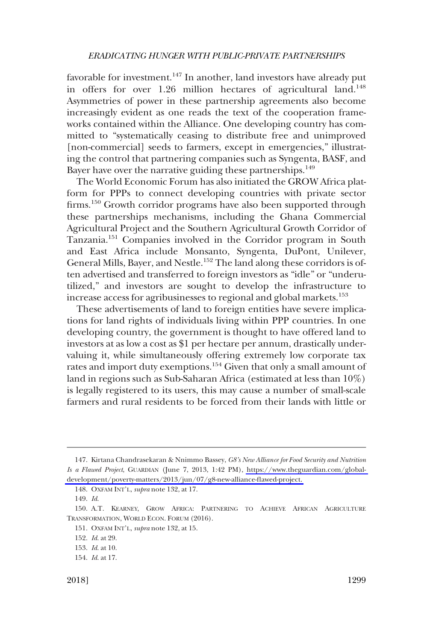favorable for investment.<sup>147</sup> In another, land investors have already put in offers for over 1.26 million hectares of agricultural land.<sup>148</sup> Asymmetries of power in these partnership agreements also become increasingly evident as one reads the text of the cooperation frameworks contained within the Alliance. One developing country has committed to "systematically ceasing to distribute free and unimproved [non-commercial] seeds to farmers, except in emergencies," illustrating the control that partnering companies such as Syngenta, BASF, and Bayer have over the narrative guiding these partnerships.<sup>149</sup>

The World Economic Forum has also initiated the GROW Africa platform for PPPs to connect developing countries with private sector firms.<sup>150</sup> Growth corridor programs have also been supported through these partnerships mechanisms, including the Ghana Commercial Agricultural Project and the Southern Agricultural Growth Corridor of Tanzania.151 Companies involved in the Corridor program in South and East Africa include Monsanto, Syngenta, DuPont, Unilever, General Mills, Bayer, and Nestle.<sup>152</sup> The land along these corridors is often advertised and transferred to foreign investors as "idle" or "underutilized," and investors are sought to develop the infrastructure to increase access for agribusinesses to regional and global markets.<sup>153</sup>

These advertisements of land to foreign entities have severe implications for land rights of individuals living within PPP countries. In one developing country, the government is thought to have offered land to investors at as low a cost as \$1 per hectare per annum, drastically undervaluing it, while simultaneously offering extremely low corporate tax rates and import duty exemptions.<sup>154</sup> Given that only a small amount of land in regions such as Sub-Saharan Africa (estimated at less than 10%) is legally registered to its users, this may cause a number of small-scale farmers and rural residents to be forced from their lands with little or

<sup>147.</sup> Kirtana Chandrasekaran & Nnimmo Bassey, *G8's New Alliance for Food Security and Nutrition Is a Flawed Project*, GUARDIAN (June 7, 2013, 1:42 PM), [https://www.theguardian.com/global](https://www.theguardian.com/global-development/poverty-matters/2013/jun/07/g8-new-alliance-flawed-project)[development/poverty-matters/2013/jun/07/g8-new-alliance-flawed-project.](https://www.theguardian.com/global-development/poverty-matters/2013/jun/07/g8-new-alliance-flawed-project) 

<sup>148.</sup> OXFAM INT'L, *supra* note 132, at 17.

<sup>149.</sup> *Id*.

<sup>150.</sup> A.T. KEARNEY, GROW AFRICA: PARTNERING TO ACHIEVE AFRICAN AGRICULTURE TRANSFORMATION, WORLD ECON. FORUM (2016).

<sup>151.</sup> OXFAM INT'L, *supra* note 132, at 15.

<sup>152.</sup> *Id*. at 29.

<sup>153.</sup> *Id*. at 10.

<sup>154.</sup> *Id*. at 17.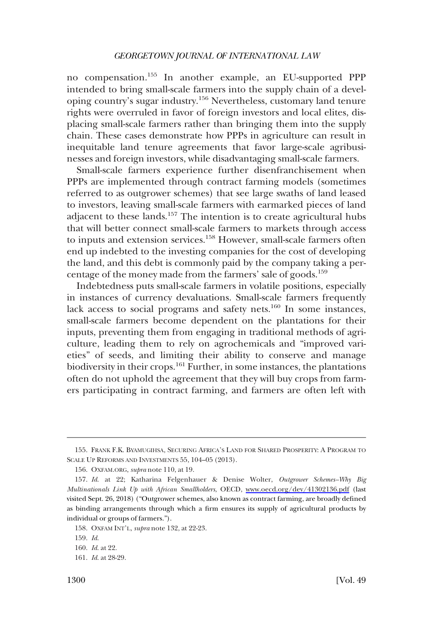no compensation.155 In another example, an EU-supported PPP intended to bring small-scale farmers into the supply chain of a developing country's sugar industry.156 Nevertheless, customary land tenure rights were overruled in favor of foreign investors and local elites, displacing small-scale farmers rather than bringing them into the supply chain. These cases demonstrate how PPPs in agriculture can result in inequitable land tenure agreements that favor large-scale agribusinesses and foreign investors, while disadvantaging small-scale farmers.

Small-scale farmers experience further disenfranchisement when PPPs are implemented through contract farming models (sometimes referred to as outgrower schemes) that see large swaths of land leased to investors, leaving small-scale farmers with earmarked pieces of land adjacent to these lands.<sup>157</sup> The intention is to create agricultural hubs that will better connect small-scale farmers to markets through access to inputs and extension services.<sup>158</sup> However, small-scale farmers often end up indebted to the investing companies for the cost of developing the land, and this debt is commonly paid by the company taking a percentage of the money made from the farmers' sale of goods.159

Indebtedness puts small-scale farmers in volatile positions, especially in instances of currency devaluations. Small-scale farmers frequently lack access to social programs and safety nets.<sup>160</sup> In some instances, small-scale farmers become dependent on the plantations for their inputs, preventing them from engaging in traditional methods of agriculture, leading them to rely on agrochemicals and "improved varieties" of seeds, and limiting their ability to conserve and manage biodiversity in their crops.<sup>161</sup> Further, in some instances, the plantations often do not uphold the agreement that they will buy crops from farmers participating in contract farming, and farmers are often left with

<sup>155.</sup> FRANK F.K. BYAMUGIHSA, SECURING AFRICA'S LAND FOR SHARED PROSPERITY: A PROGRAM TO SCALE UP REFORMS AND INVESTMENTS 55, 104–05 (2013).

<sup>156.</sup> OXFAM.ORG, *supra* note 110, at 19.

*Id*. at 22; Katharina Felgenhauer & Denise Wolter, *Outgrower Schemes–Why Big*  157. *Multinationals Link Up with African Smallholders*, OECD, <www.oecd.org/dev/41302136.pdf> (last visited Sept. 26, 2018) ("Outgrower schemes, also known as contract farming, are broadly defined as binding arrangements through which a firm ensures its supply of agricultural products by individual or groups of farmers.").

<sup>158.</sup> OXFAM INT'L, *supra* note 132, at 22-23.

<sup>159.</sup> *Id*.

<sup>160.</sup> *Id*. at 22.

<sup>161.</sup> *Id*. at 28-29.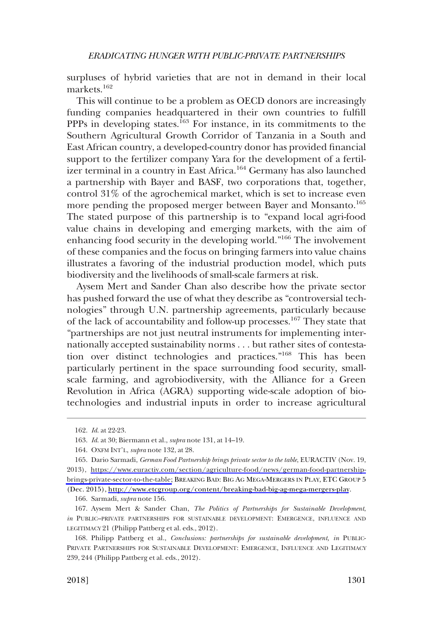surpluses of hybrid varieties that are not in demand in their local markets.<sup>162</sup>

This will continue to be a problem as OECD donors are increasingly funding companies headquartered in their own countries to fulfill PPPs in developing states.<sup>163</sup> For instance, in its commitments to the Southern Agricultural Growth Corridor of Tanzania in a South and East African country, a developed-country donor has provided financial support to the fertilizer company Yara for the development of a fertilizer terminal in a country in East Africa.164 Germany has also launched a partnership with Bayer and BASF, two corporations that, together, control 31% of the agrochemical market, which is set to increase even more pending the proposed merger between Bayer and Monsanto.<sup>165</sup> The stated purpose of this partnership is to "expand local agri-food value chains in developing and emerging markets, with the aim of enhancing food security in the developing world."166 The involvement of these companies and the focus on bringing farmers into value chains illustrates a favoring of the industrial production model, which puts biodiversity and the livelihoods of small-scale farmers at risk.

Aysem Mert and Sander Chan also describe how the private sector has pushed forward the use of what they describe as "controversial technologies" through U.N. partnership agreements, particularly because of the lack of accountability and follow-up processes.167 They state that "partnerships are not just neutral instruments for implementing internationally accepted sustainability norms . . . but rather sites of contestation over distinct technologies and practices."168 This has been particularly pertinent in the space surrounding food security, smallscale farming, and agrobiodiversity, with the Alliance for a Green Revolution in Africa (AGRA) supporting wide-scale adoption of biotechnologies and industrial inputs in order to increase agricultural

<sup>162.</sup> *Id*. at 22-23.

<sup>163.</sup> *Id*. at 30; Biermann et al., *supra* note 131, at 14–19.

<sup>164.</sup> OXFM INT'L, *supra* note 132, at 28.

<sup>165.</sup> Dario Sarmadi, *German Food Partnership brings private sector to the table*, EURACTIV (Nov. 19, 2013), [https://www.euractiv.com/section/agriculture-food/news/german-food-partnership](https://www.euractiv.com/section/agriculture-food/news/german-food-partnership-brings-private-sector-to-the-table)[brings-private-sector-to-the-table;](https://www.euractiv.com/section/agriculture-food/news/german-food-partnership-brings-private-sector-to-the-table) BREAKING BAD: BIG AG MEGA-MERGERS IN PLAY, ETC GROUP 5 (Dec. 2015),<http://www.etcgroup.org/content/breaking-bad-big-ag-mega-mergers-play>.

<sup>166.</sup> Sarmadi, *supra* note 156.

<sup>167.</sup> Aysem Mert & Sander Chan, *The Politics of Partnerships for Sustainable Development*, *in* PUBLIC–PRIVATE PARTNERSHIPS FOR SUSTAINABLE DEVELOPMENT: EMERGENCE, INFLUENCE AND LEGITIMACY 21 (Philipp Pattberg et al. eds., 2012).

<sup>168.</sup> Philipp Pattberg et al., *Conclusions: partnerships for sustainable development, in* PUBLIC-PRIVATE PARTNERSHIPS FOR SUSTAINABLE DEVELOPMENT: EMERGENCE, INFLUENCE AND LEGITIMACY 239, 244 (Philipp Pattberg et al. eds., 2012).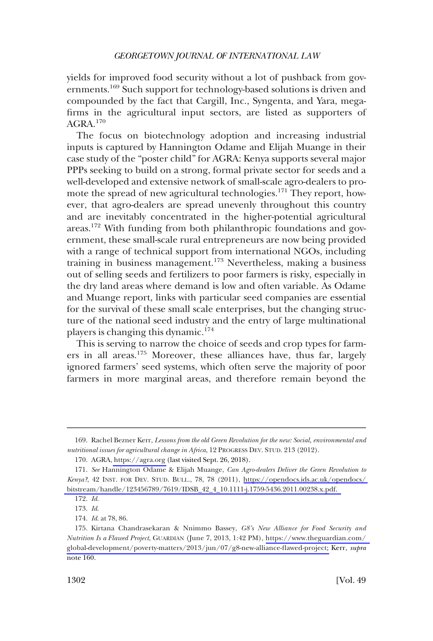yields for improved food security without a lot of pushback from governments.169 Such support for technology-based solutions is driven and compounded by the fact that Cargill, Inc., Syngenta, and Yara, megafirms in the agricultural input sectors, are listed as supporters of AGRA.170

The focus on biotechnology adoption and increasing industrial inputs is captured by Hannington Odame and Elijah Muange in their case study of the "poster child" for AGRA: Kenya supports several major PPPs seeking to build on a strong, formal private sector for seeds and a well-developed and extensive network of small-scale agro-dealers to promote the spread of new agricultural technologies.<sup>171</sup> They report, however, that agro-dealers are spread unevenly throughout this country and are inevitably concentrated in the higher-potential agricultural areas.172 With funding from both philanthropic foundations and government, these small-scale rural entrepreneurs are now being provided with a range of technical support from international NGOs, including training in business management.173 Nevertheless, making a business out of selling seeds and fertilizers to poor farmers is risky, especially in the dry land areas where demand is low and often variable. As Odame and Muange report, links with particular seed companies are essential for the survival of these small scale enterprises, but the changing structure of the national seed industry and the entry of large multinational players is changing this dynamic.<sup>174</sup>

This is serving to narrow the choice of seeds and crop types for farmers in all areas.<sup>175</sup> Moreover, these alliances have, thus far, largely ignored farmers' seed systems, which often serve the majority of poor farmers in more marginal areas, and therefore remain beyond the

<sup>169.</sup> Rachel Bezner Kerr, *Lessons from the old Green Revolution for the new: Social, environmental and nutritional issues for agricultural change in Africa*, 12 PROGRESS DEV. STUD. 213 (2012).

<sup>170.</sup> AGRA,<https://agra.org> (last visited Sept. 26, 2018).

*See* Hannington Odame & Elijah Muange, *Can Agro-dealers Deliver the Green Revolution to*  171. *Kenya?*, 42 INST. FOR DEV. STUD. BULL., 78, 78 (2011), [https://opendocs.ids.ac.uk/opendocs/](https://opendocs.ids.ac.uk/opendocs/bitstream/handle/123456789/7619/IDSB_42_4_10.1111-j.1759-5436.2011.00238.x.pdf)  [bitstream/handle/123456789/7619/IDSB\\_42\\_4\\_10.1111-j.1759-5436.2011.00238.x.pdf.](https://opendocs.ids.ac.uk/opendocs/bitstream/handle/123456789/7619/IDSB_42_4_10.1111-j.1759-5436.2011.00238.x.pdf) 

<sup>172.</sup> *Id*.

<sup>173.</sup> *Id*.

<sup>174.</sup> *Id*. at 78, 86.

<sup>175.</sup> Kirtana Chandrasekaran & Nnimmo Bassey, G8's New Alliance for Food Security and *Nutrition Is a Flawed Project*, GUARDIAN (June 7, 2013, 1:42 PM), [https://www.theguardian.com/](https://www.theguardian.com/global-development/poverty-matters/2013/jun/07/g8-new-alliance-flawed-project)  [global-development/poverty-matters/2013/jun/07/g8-new-alliance-flawed-project;](https://www.theguardian.com/global-development/poverty-matters/2013/jun/07/g8-new-alliance-flawed-project) Kerr, *supra*  note 160.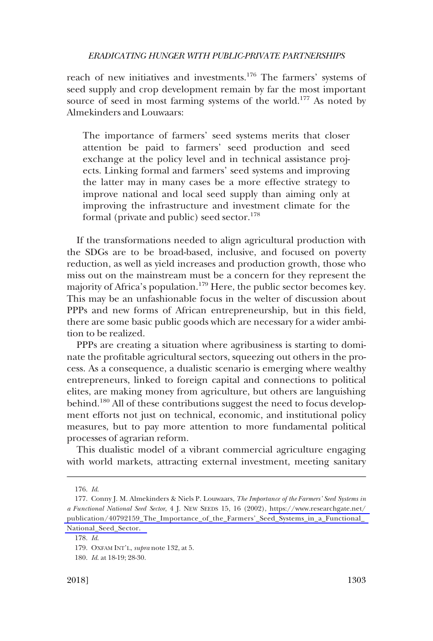reach of new initiatives and investments.176 The farmers' systems of seed supply and crop development remain by far the most important source of seed in most farming systems of the world.<sup>177</sup> As noted by Almekinders and Louwaars:

The importance of farmers' seed systems merits that closer attention be paid to farmers' seed production and seed exchange at the policy level and in technical assistance projects. Linking formal and farmers' seed systems and improving the latter may in many cases be a more effective strategy to improve national and local seed supply than aiming only at improving the infrastructure and investment climate for the formal (private and public) seed sector.<sup>178</sup>

If the transformations needed to align agricultural production with the SDGs are to be broad-based, inclusive, and focused on poverty reduction, as well as yield increases and production growth, those who miss out on the mainstream must be a concern for they represent the majority of Africa's population.<sup>179</sup> Here, the public sector becomes key. This may be an unfashionable focus in the welter of discussion about PPPs and new forms of African entrepreneurship, but in this field, there are some basic public goods which are necessary for a wider ambition to be realized.

PPPs are creating a situation where agribusiness is starting to dominate the profitable agricultural sectors, squeezing out others in the process. As a consequence, a dualistic scenario is emerging where wealthy entrepreneurs, linked to foreign capital and connections to political elites, are making money from agriculture, but others are languishing behind.<sup>180</sup> All of these contributions suggest the need to focus development efforts not just on technical, economic, and institutional policy measures, but to pay more attention to more fundamental political processes of agrarian reform.

This dualistic model of a vibrant commercial agriculture engaging with world markets, attracting external investment, meeting sanitary

<sup>176.</sup> *Id*.

<sup>177.</sup> Conny J. M. Almekinders & Niels P. Louwaars, *The Importance of the Farmers' Seed Systems in a Functional National Seed Sector*, 4 J. NEW SEEDS 15, 16 (2002), [https://www.researchgate.net/](https://www.researchgate.net/publication/40792159_The_Importance_of_the_Farmers%E2%80%99_Seed_Systems_in_a_Functional_National_Seed_Sector)  [publication/40792159\\_The\\_Importance\\_of\\_the\\_Farmers'\\_Seed\\_Systems\\_in\\_a\\_Functional\\_](https://www.researchgate.net/publication/40792159_The_Importance_of_the_Farmers%E2%80%99_Seed_Systems_in_a_Functional_National_Seed_Sector)  [National\\_Seed\\_Sector.](https://www.researchgate.net/publication/40792159_The_Importance_of_the_Farmers%E2%80%99_Seed_Systems_in_a_Functional_National_Seed_Sector) 

<sup>178.</sup> *Id*.

<sup>179.</sup> OXFAM INT'L, *supra* note 132, at 5.

<sup>180.</sup> *Id*. at 18-19; 28-30.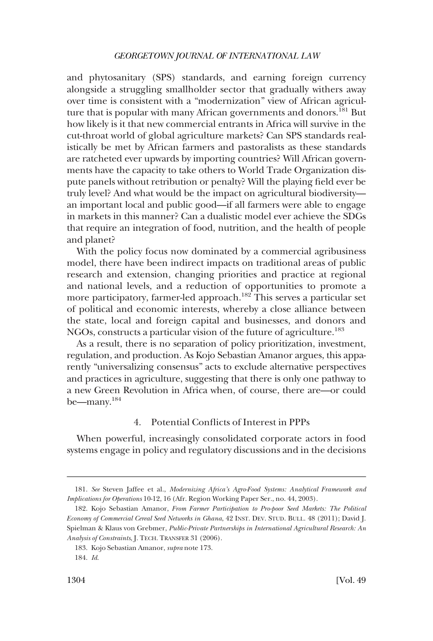<span id="page-33-0"></span>and phytosanitary (SPS) standards, and earning foreign currency alongside a struggling smallholder sector that gradually withers away over time is consistent with a "modernization" view of African agriculture that is popular with many African governments and donors.<sup>181</sup> But how likely is it that new commercial entrants in Africa will survive in the cut-throat world of global agriculture markets? Can SPS standards realistically be met by African farmers and pastoralists as these standards are ratcheted ever upwards by importing countries? Will African governments have the capacity to take others to World Trade Organization dispute panels without retribution or penalty? Will the playing field ever be truly level? And what would be the impact on agricultural biodiversity an important local and public good—if all farmers were able to engage in markets in this manner? Can a dualistic model ever achieve the SDGs that require an integration of food, nutrition, and the health of people and planet?

With the policy focus now dominated by a commercial agribusiness model, there have been indirect impacts on traditional areas of public research and extension, changing priorities and practice at regional and national levels, and a reduction of opportunities to promote a more participatory, farmer-led approach.<sup>182</sup> This serves a particular set of political and economic interests, whereby a close alliance between the state, local and foreign capital and businesses, and donors and NGOs, constructs a particular vision of the future of agriculture.<sup>183</sup>

As a result, there is no separation of policy prioritization, investment, regulation, and production. As Kojo Sebastian Amanor argues, this apparently "universalizing consensus" acts to exclude alternative perspectives and practices in agriculture, suggesting that there is only one pathway to a new Green Revolution in Africa when, of course, there are—or could be—many.184

## 4. Potential Conflicts of Interest in PPPs

When powerful, increasingly consolidated corporate actors in food systems engage in policy and regulatory discussions and in the decisions

<sup>181.</sup> *See* Steven Jaffee et al., *Modernizing Africa's Agro-Food Systems: Analytical Framework and Implications for Operations* 10-12, 16 (Afr. Region Working Paper Ser., no. 44, 2003).

<sup>182.</sup> Kojo Sebastian Amanor, *From Farmer Participation to Pro-poor Seed Markets: The Political Economy of Commercial Cereal Seed Networks in Ghana*, 42 INST. DEV. STUD. BULL. 48 (2011); David J. Spielman & Klaus von Grebmer, *Public-Private Partnerships in International Agricultural Research: An Analysis of Constraints*, J. TECH. TRANSFER 31 (2006).

<sup>183.</sup> Kojo Sebastian Amanor, *supra* note 173.

<sup>184.</sup> *Id*.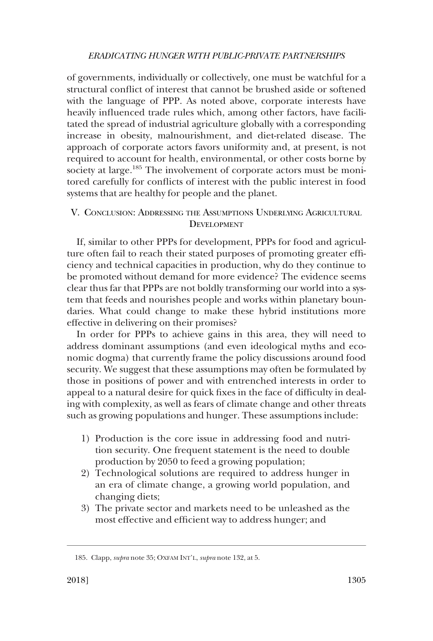<span id="page-34-0"></span>of governments, individually or collectively, one must be watchful for a structural conflict of interest that cannot be brushed aside or softened with the language of PPP. As noted above, corporate interests have heavily influenced trade rules which, among other factors, have facilitated the spread of industrial agriculture globally with a corresponding increase in obesity, malnourishment, and diet-related disease. The approach of corporate actors favors uniformity and, at present, is not required to account for health, environmental, or other costs borne by society at large.<sup>185</sup> The involvement of corporate actors must be monitored carefully for conflicts of interest with the public interest in food systems that are healthy for people and the planet.

## V. CONCLUSION: ADDRESSING THE ASSUMPTIONS UNDERLYING AGRICULTURAL DEVELOPMENT

If, similar to other PPPs for development, PPPs for food and agriculture often fail to reach their stated purposes of promoting greater efficiency and technical capacities in production, why do they continue to be promoted without demand for more evidence? The evidence seems clear thus far that PPPs are not boldly transforming our world into a system that feeds and nourishes people and works within planetary boundaries. What could change to make these hybrid institutions more effective in delivering on their promises?

In order for PPPs to achieve gains in this area, they will need to address dominant assumptions (and even ideological myths and economic dogma) that currently frame the policy discussions around food security. We suggest that these assumptions may often be formulated by those in positions of power and with entrenched interests in order to appeal to a natural desire for quick fixes in the face of difficulty in dealing with complexity, as well as fears of climate change and other threats such as growing populations and hunger. These assumptions include:

- 1) Production is the core issue in addressing food and nutrition security. One frequent statement is the need to double production by 2050 to feed a growing population;
- 2) Technological solutions are required to address hunger in an era of climate change, a growing world population, and changing diets;
- 3) The private sector and markets need to be unleashed as the most effective and efficient way to address hunger; and

<sup>185.</sup> Clapp, *supra* note 35; OXFAM INT'L, *supra* note 132, at 5.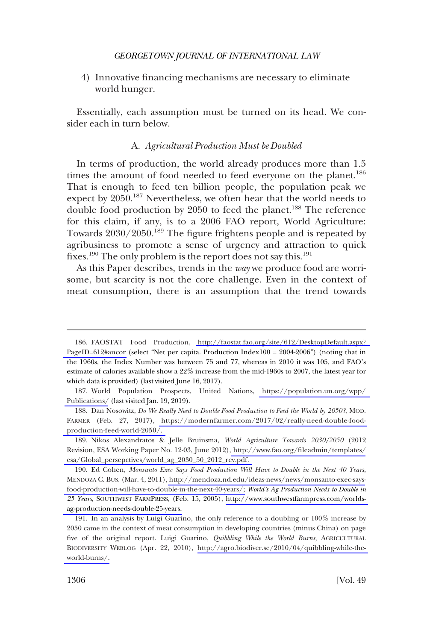<span id="page-35-0"></span>4) Innovative financing mechanisms are necessary to eliminate world hunger.

Essentially, each assumption must be turned on its head. We consider each in turn below.

## A. *Agricultural Production Must be Doubled*

In terms of production, the world already produces more than 1.5 times the amount of food needed to feed everyone on the planet.<sup>186</sup> That is enough to feed ten billion people, the population peak we expect by 2050.<sup>187</sup> Nevertheless, we often hear that the world needs to double food production by 2050 to feed the planet.<sup>188</sup> The reference for this claim, if any, is to a 2006 FAO report, World Agriculture: Towards  $2030/2050$ <sup>189</sup> The figure frightens people and is repeated by agribusiness to promote a sense of urgency and attraction to quick fixes.<sup>190</sup> The only problem is the report does not say this.<sup>191</sup>

As this Paper describes, trends in the *way* we produce food are worrisome, but scarcity is not the core challenge. Even in the context of meat consumption, there is an assumption that the trend towards

FAOSTAT Food Production, [http://faostat.fao.org/site/612/DesktopDefault.aspx?](http://faostat.fao.org/site/612/DesktopDefault.aspx?PageID=612#ancor)  186. [PageID=612#ancor](http://faostat.fao.org/site/612/DesktopDefault.aspx?PageID=612#ancor) (select "Net per capita. Production Index100 = 2004-2006") (noting that in the 1960s, the Index Number was between 75 and 77, whereas in 2010 it was 105, and FAO's estimate of calories available show a 22% increase from the mid-1960s to 2007, the latest year for which data is provided) (last visited June 16, 2017).

<sup>187.</sup> World Population Prospects, United Nations, https://population.un.org/wpp/ [Publications/](https://population.un.org/wpp/Publications/) (last visited Jan. 19, 2019).

<sup>188.</sup> Dan Nosowitz, Do We Really Need to Double Food Production to Feed the World by 2050?, MOD. FARMER (Feb. 27, 2017), [https://modernfarmer.com/2017/02/really-need-double-food](https://modernfarmer.com/2017/02/really-need-double-food-production-feed-world-2050/)[production-feed-world-2050/.](https://modernfarmer.com/2017/02/really-need-double-food-production-feed-world-2050/) 

Nikos Alexandratos & Jelle Bruinsma, *World Agriculture Towards 2030/2050* (2012 189. Revision, ESA Working Paper No. 12-03, June 2012), [http://www.fao.org/fileadmin/templates/](http://www.fao.org/fileadmin/templates/esa/Global_persepctives/world_ag_2030_50_2012_rev.pdf) [esa/Global\\_persepctives/world\\_ag\\_2030\\_50\\_2012\\_rev.pdf.](http://www.fao.org/fileadmin/templates/esa/Global_persepctives/world_ag_2030_50_2012_rev.pdf) 

Ed Cohen, *Monsanto Exec Says Food Production Will Have to Double in the Next 40 Years*, 190. MENDOZA C. BUS. (Mar. 4, 2011), [http://mendoza.nd.edu/ideas-news/news/monsanto-exec-says](http://mendoza.nd.edu/ideas-news/news/monsanto-exec-says-food-production-will-have-to-double-in-the-next-40-years/)[food-production-will-have-to-double-in-the-next-40-years/;](http://mendoza.nd.edu/ideas-news/news/monsanto-exec-says-food-production-will-have-to-double-in-the-next-40-years/) *World's Ag Production Needs to Double in 25 Years*, SOUTHWEST FARMPRESS, (Feb. 15, 2005), [http://www.southwestfarmpress.com/worlds](http://www.southwestfarmpress.com/worlds-ag-production-needs-double-25-years)[ag-production-needs-double-25-years.](http://www.southwestfarmpress.com/worlds-ag-production-needs-double-25-years)

<sup>191.</sup> In an analysis by Luigi Guarino, the only reference to a doubling or 100% increase by 2050 came in the context of meat consumption in developing countries (minus China) on page five of the original report. Luigi Guarino, *Quibbling While the World Burns*, AGRICULTURAL BIODIVERSITY WEBLOG (Apr. 22, 2010), [http://agro.biodiver.se/2010/04/quibbling-while-the](http://agro.biodiver.se/2010/04/quibbling-while-the-world-burns/)[world-burns/.](http://agro.biodiver.se/2010/04/quibbling-while-the-world-burns/)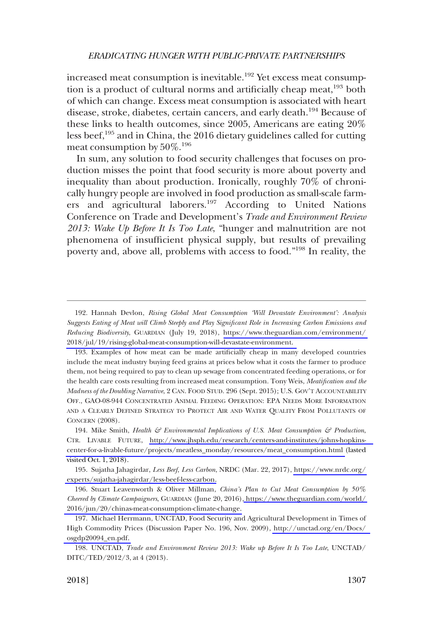increased meat consumption is inevitable.<sup>192</sup> Yet excess meat consumption is a product of cultural norms and artificially cheap meat,<sup>193</sup> both of which can change. Excess meat consumption is associated with heart disease, stroke, diabetes, certain cancers, and early death.<sup>194</sup> Because of these links to health outcomes, since 2005, Americans are eating 20% less beef,<sup>195</sup> and in China, the 2016 dietary guidelines called for cutting meat consumption by  $50\%$ .<sup>196</sup>

In sum, any solution to food security challenges that focuses on production misses the point that food security is more about poverty and inequality than about production. Ironically, roughly 70% of chronically hungry people are involved in food production as small-scale farmers and agricultural laborers.<sup>197</sup> According to United Nations Conference on Trade and Development's *Trade and Environment Review 2013: Wake Up Before It Is Too Late*, "hunger and malnutrition are not phenomena of insufficient physical supply, but results of prevailing poverty and, above all, problems with access to food."198 In reality, the

<sup>192.</sup> Hannah Devlon, *Rising Global Meat Consumption 'Will Devastate Environment': Analysis Suggests Eating of Meat will Climb Steeply and Play Significant Role in Increasing Carbon Emissions and Reducing Biodiversity*, GUARDIAN (July 19, 2018), [https://www.theguardian.com/environment/](https://www.theguardian.com/environment/2018/jul/19/rising-global-meat-consumption-will-devastate-environment)  [2018/jul/19/rising-global-meat-consumption-will-devastate-environment.](https://www.theguardian.com/environment/2018/jul/19/rising-global-meat-consumption-will-devastate-environment) 

<sup>193.</sup> Examples of how meat can be made artificially cheap in many developed countries include the meat industry buying feed grains at prices below what it costs the farmer to produce them, not being required to pay to clean up sewage from concentrated feeding operations, or for the health care costs resulting from increased meat consumption. Tony Weis, *Meatification and the Madness of the Doubling Narrative*, 2 CAN. FOOD STUD. 296 (Sept. 2015); U.S. GOV'T ACCOUNTABILITY OFF., GAO-08-944 CONCENTRATED ANIMAL FEEDING OPERATION: EPA NEEDS MORE INFORMATION AND A CLEARLY DEFINED STRATEGY TO PROTECT AIR AND WATER QUALITY FROM POLLUTANTS OF CONCERN (2008).

<sup>194.</sup> Mike Smith, *Health & Environmental Implications of U.S. Meat Consumption & Production*, CTR. LIVABLE FUTURE, [http://www.jhsph.edu/research/centers-and-institutes/johns-hopkins](http://www.jhsph.edu/research/centers-and-institutes/johns-hopkins-center-for-a-livable-future/projects/meatless_monday/resources/meat_consumption.html)[center-for-a-livable-future/projects/meatless\\_monday/resources/meat\\_consumption.html](http://www.jhsph.edu/research/centers-and-institutes/johns-hopkins-center-for-a-livable-future/projects/meatless_monday/resources/meat_consumption.html) (lasted visited Oct. 1, 2018).

Sujatha Jahagirdar, *Less Beef, Less Carbon*, NRDC (Mar. 22, 2017), [https://www.nrdc.org/](https://www.nrdc.org/experts/sujatha-jahagirdar/less-beef-less-carbon)  195. [experts/sujatha-jahagirdar/less-beef-less-carbon.](https://www.nrdc.org/experts/sujatha-jahagirdar/less-beef-less-carbon)

<sup>196.</sup> Stuart Leavenworth & Oliver Millman, *China's Plan to Cut Meat Consumption by* 50% *Cheered by Climate Campaigners*, GUARDIAN (June 20, 2016)[, https://www.theguardian.com/world/](https://www.theguardian.com/world/2016/jun/20/chinas-meat-consumption-climate-change)  [2016/jun/20/chinas-meat-consumption-climate-change.](https://www.theguardian.com/world/2016/jun/20/chinas-meat-consumption-climate-change) 

<sup>197.</sup> Michael Herrmann, UNCTAD, Food Security and Agricultural Development in Times of High Commodity Prices (Discussion Paper No. 196, Nov. 2009), [http://unctad.org/en/Docs/](http://unctad.org/en/Docs/osgdp20094_en.pdf)  [osgdp20094\\_en.pdf.](http://unctad.org/en/Docs/osgdp20094_en.pdf) 

<sup>198.</sup> UNCTAD, *Trade and Environment Review 2013: Wake up Before It Is Too Late*, UNCTAD/ DITC/TED/2012/3, at 4 (2013).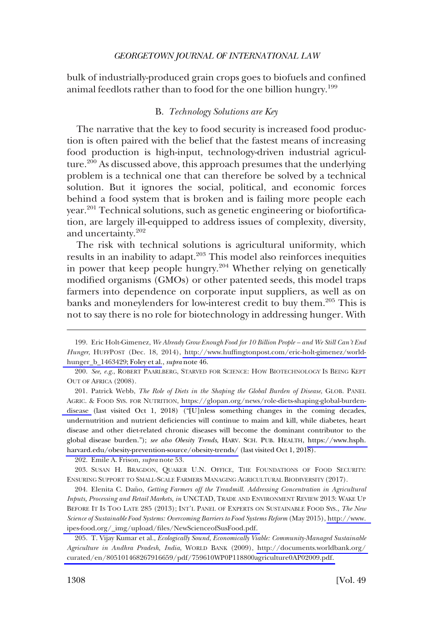<span id="page-37-0"></span>bulk of industrially-produced grain crops goes to biofuels and confined animal feedlots rather than to food for the one billion hungry.<sup>199</sup>

## B. *Technology Solutions are Key*

The narrative that the key to food security is increased food production is often paired with the belief that the fastest means of increasing food production is high-input, technology-driven industrial agriculture.<sup>200</sup> As discussed above, this approach presumes that the underlying problem is a technical one that can therefore be solved by a technical solution. But it ignores the social, political, and economic forces behind a food system that is broken and is failing more people each year.<sup>201</sup> Technical solutions, such as genetic engineering or biofortification, are largely ill-equipped to address issues of complexity, diversity, and uncertainty.<sup>202</sup>

The risk with technical solutions is agricultural uniformity, which results in an inability to adapt.<sup>203</sup> This model also reinforces inequities in power that keep people hungry.<sup>204</sup> Whether relying on genetically modified organisms (GMOs) or other patented seeds, this model traps farmers into dependence on corporate input suppliers, as well as on banks and moneylenders for low-interest credit to buy them.<sup>205</sup> This is not to say there is no role for biotechnology in addressing hunger. With

201. Patrick Webb, *The Role of Diets in the Shaping the Global Burden of Disease*, GLOB. PANEL AGRIC. & FOOD SYS. FOR NUTRITION, [https://glopan.org/news/role-diets-shaping-global-burden](https://glopan.org/news/role-diets-shaping-global-burden-disease)[disease](https://glopan.org/news/role-diets-shaping-global-burden-disease) (last visited Oct 1, 2018) ("**[**U]nless something changes in the coming decades, undernutrition and nutrient deficiencies will continue to maim and kill, while diabetes, heart disease and other diet-related chronic diseases will become the dominant contributor to the global disease burden."); *see also Obesity Trends*, HARV. SCH. PUB. HEALTH, [https://www.hsph.](https://www.hsph.harvard.edu/obesity-prevention-source/obesity-trends/)  [harvard.edu/obesity-prevention-source/obesity-trends/](https://www.hsph.harvard.edu/obesity-prevention-source/obesity-trends/) (last visited Oct 1, 2018).

202. Emile A. Frison, *supra* note 53.

203. SUSAN H. BRAGDON, QUAKER U.N. OFFICE, THE FOUNDATIONS OF FOOD SECURITY: ENSURING SUPPORT TO SMALL-SCALE FARMERS MANAGING AGRICULTURAL BIODIVERSITY (2017).

204. Elenita C. Daño, Getting Farmers off the Treadmill. Addressing Concentration in Agricultural *Inputs, Processing and Retail Markets, in* UNCTAD, TRADE AND ENVIRONMENT REVIEW 2013: WAKE UP BEFORE IT IS TOO LATE 285 (2013); INT'L PANEL OF EXPERTS ON SUSTAINABLE FOOD SYS., *The New Science of Sustainable Food Systems: Overcoming Barriers to Food Systems Reform* (May 2015), [http://www.](http://www.ipes-food.org/_img/upload/files/NewScienceofSusFood.pdf)  [ipes-food.org/\\_img/upload/files/NewScienceofSusFood.pdf.](http://www.ipes-food.org/_img/upload/files/NewScienceofSusFood.pdf) 

T. Vijay Kumar et al., *Ecologically Sound, Economically Viable: Community-Managed Sustainable*  205. *Agriculture in Andhra Pradesh, India*, WORLD BANK (2009), [http://documents.worldbank.org/](http://documents.worldbank.org/curated/en/805101468267916659/pdf/759610WP0P118800agriculture0AP02009.pdf)  [curated/en/805101468267916659/pdf/759610WP0P118800agriculture0AP02009.pdf.](http://documents.worldbank.org/curated/en/805101468267916659/pdf/759610WP0P118800agriculture0AP02009.pdf) 

Eric Holt-Gimenez, *We Already Grow Enough Food for 10 Billion People – and We Still Can't End*  199. *Hunger*, HUFFPOST (Dec. 18, 2014), [http://www.huffingtonpost.com/eric-holt-gimenez/world](http://www.huffingtonpost.com/eric-holt-gimenez/world-hunger_b_1463429)[hunger\\_b\\_1463429; Foley et al.](http://www.huffingtonpost.com/eric-holt-gimenez/world-hunger_b_1463429), *supra* note 46.

<sup>200.</sup> *See, e.g*., ROBERT PAARLBERG, STARVED FOR SCIENCE: HOW BIOTECHNOLOGY IS BEING KEPT OUT OF AFRICA (2008).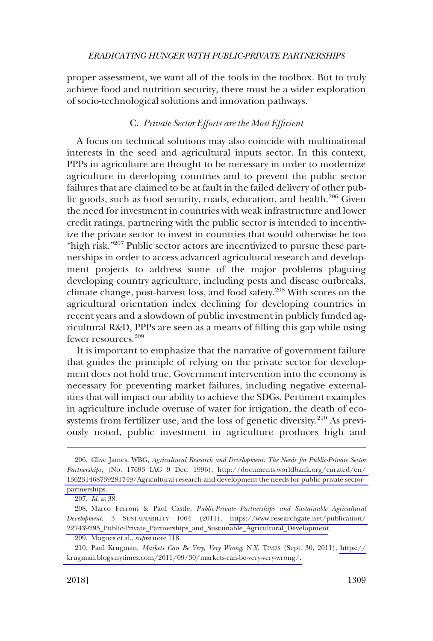<span id="page-38-0"></span>proper assessment, we want all of the tools in the toolbox. But to truly achieve food and nutrition security, there must be a wider exploration of socio-technological solutions and innovation pathways.

## C. *Private Sector Efforts are the Most Efficient*

A focus on technical solutions may also coincide with multinational interests in the seed and agricultural inputs sector. In this context, PPPs in agriculture are thought to be necessary in order to modernize agriculture in developing countries and to prevent the public sector failures that are claimed to be at fault in the failed delivery of other public goods, such as food security, roads, education, and health.<sup>206</sup> Given the need for investment in countries with weak infrastructure and lower credit ratings, partnering with the public sector is intended to incentivize the private sector to invest in countries that would otherwise be too "high risk."<sup>207</sup> Public sector actors are incentivized to pursue these partnerships in order to access advanced agricultural research and development projects to address some of the major problems plaguing developing country agriculture, including pests and disease outbreaks, climate change, post-harvest loss, and food safety.<sup>208</sup> With scores on the agricultural orientation index declining for developing countries in recent years and a slowdown of public investment in publicly funded agricultural R&D, PPPs are seen as a means of filling this gap while using fewer resources.<sup>209</sup>

It is important to emphasize that the narrative of government failure that guides the principle of relying on the private sector for development does not hold true. Government intervention into the economy is necessary for preventing market failures, including negative externalities that will impact our ability to achieve the SDGs. Pertinent examples in agriculture include overuse of water for irrigation, the death of ecosystems from fertilizer use, and the loss of genetic diversity.<sup>210</sup> As previously noted, public investment in agriculture produces high and

<sup>206.</sup> Clive James, WBG, *Agricultural Research and Development: The Needs for Public-Private Sector Partnerships*, (No. 17693 IAG 9 Dec. 1996), [http://documents.worldbank.org/curated/en/](http://documents.worldbank.org/curated/en/136231468739281749/Agricultural-research-and-development-the-needs-for-public-private-sector-partnerships)  [136231468739281749/Agricultural-research-and-development-the-needs-for-public-private-sector](http://documents.worldbank.org/curated/en/136231468739281749/Agricultural-research-and-development-the-needs-for-public-private-sector-partnerships)[partnerships.](http://documents.worldbank.org/curated/en/136231468739281749/Agricultural-research-and-development-the-needs-for-public-private-sector-partnerships) 

<sup>207.</sup> *Id*. at 38.

<sup>208.</sup> Marco Ferroni & Paul Castle, *Public-Private Partnerships and Sustainable Agricultural Development*, 3 SUSTAINABILITY 1064 (2011), [https://www.researchgate.net/publication/](https://www.researchgate.net/publication/227439295_Public-Private_Partnerships_and_Sustainable_Agricultural_Development)  [227439295\\_Public-Private\\_Partnerships\\_and\\_Sustainable\\_Agricultural\\_Development](https://www.researchgate.net/publication/227439295_Public-Private_Partnerships_and_Sustainable_Agricultural_Development).

<sup>209.</sup> Mogues et al., *supra* note 118.

Paul Krugman, *Markets Can Be Very, Very Wrong*, N.Y. TIMES (Sept. 30, 2011), [https://](https://krugman.blogs.nytimes.com/2011/09/30/markets-can-be-very-very-wrong/) 210. [krugman.blogs.nytimes.com/2011/09/30/markets-can-be-very-very-wrong/.](https://krugman.blogs.nytimes.com/2011/09/30/markets-can-be-very-very-wrong/)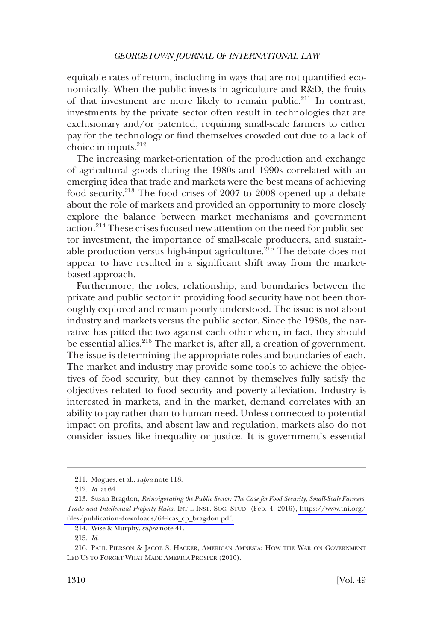equitable rates of return, including in ways that are not quantified economically. When the public invests in agriculture and R&D, the fruits of that investment are more likely to remain public.<sup>211</sup> In contrast, investments by the private sector often result in technologies that are exclusionary and/or patented, requiring small-scale farmers to either pay for the technology or find themselves crowded out due to a lack of choice in inputs.<sup>212</sup>

The increasing market-orientation of the production and exchange of agricultural goods during the 1980s and 1990s correlated with an emerging idea that trade and markets were the best means of achieving food security.213 The food crises of 2007 to 2008 opened up a debate about the role of markets and provided an opportunity to more closely explore the balance between market mechanisms and government action.214 These crises focused new attention on the need for public sector investment, the importance of small-scale producers, and sustainable production versus high-input agriculture.<sup>215</sup> The debate does not appear to have resulted in a significant shift away from the marketbased approach.

Furthermore, the roles, relationship, and boundaries between the private and public sector in providing food security have not been thoroughly explored and remain poorly understood. The issue is not about industry and markets versus the public sector. Since the 1980s, the narrative has pitted the two against each other when, in fact, they should be essential allies.<sup>216</sup> The market is, after all, a creation of government. The issue is determining the appropriate roles and boundaries of each. The market and industry may provide some tools to achieve the objectives of food security, but they cannot by themselves fully satisfy the objectives related to food security and poverty alleviation. Industry is interested in markets, and in the market, demand correlates with an ability to pay rather than to human need. Unless connected to potential impact on profits, and absent law and regulation, markets also do not consider issues like inequality or justice. It is government's essential

<sup>211.</sup> Mogues, et al., *supra* note 118.

<sup>212.</sup> *Id*. at 64.

<sup>213.</sup> Susan Bragdon, *Reinvigorating the Public Sector: The Case for Food Security, Small-Scale Farmers, Trade and Intellectual Property Rules*, INT'L INST. SOC. STUD. (Feb. 4, 2016), [https://www.tni.org/](https://www.tni.org/files/publication-downloads/64-icas_cp_bragdon.pdf)  [files/publication-downloads/64-icas\\_cp\\_bragdon.pdf.](https://www.tni.org/files/publication-downloads/64-icas_cp_bragdon.pdf) 

<sup>214.</sup> Wise & Murphy, *supra* note 41.

<sup>215.</sup> *Id*.

<sup>216.</sup> PAUL PIERSON & JACOB S. HACKER, AMERICAN AMNESIA: HOW THE WAR ON GOVERNMENT LED US TO FORGET WHAT MADE AMERICA PROSPER (2016).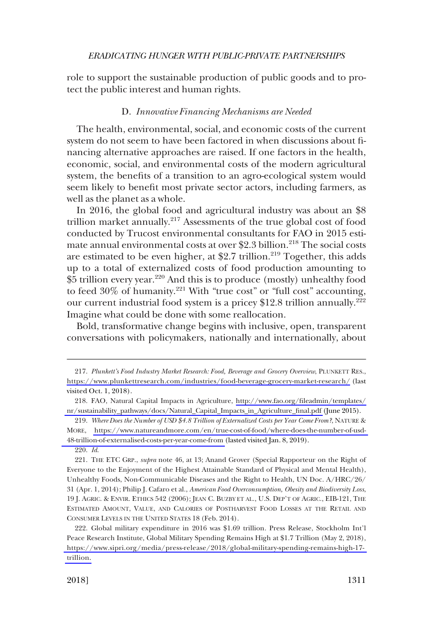<span id="page-40-0"></span>role to support the sustainable production of public goods and to protect the public interest and human rights.

### D. *Innovative Financing Mechanisms are Needed*

The health, environmental, social, and economic costs of the current system do not seem to have been factored in when discussions about financing alternative approaches are raised. If one factors in the health, economic, social, and environmental costs of the modern agricultural system, the benefits of a transition to an agro-ecological system would seem likely to benefit most private sector actors, including farmers, as well as the planet as a whole.

In 2016, the global food and agricultural industry was about an \$8 trillion market annually.<sup>217</sup> Assessments of the true global cost of food conducted by Trucost environmental consultants for FAO in 2015 estimate annual environmental costs at over \$2.3 billion.<sup>218</sup> The social costs are estimated to be even higher, at \$2.7 trillion.<sup>219</sup> Together, this adds up to a total of externalized costs of food production amounting to \$5 trillion every year.220 And this is to produce (mostly) unhealthy food to feed 30% of humanity.221 With "true cost" or "full cost" accounting, our current industrial food system is a pricey \$12.8 trillion annually.<sup>222</sup> Imagine what could be done with some reallocation.

Bold, transformative change begins with inclusive, open, transparent conversations with policymakers, nationally and internationally, about

220. *Id*.

*Plunkett's Food Industry Market Research: Food, Beverage and Grocery Overview*, PLUNKETT RES., 217. <https://www.plunkettresearch.com/industries/food-beverage-grocery-market-research/> (last visited Oct. 1, 2018).

FAO, Natural Capital Impacts in Agriculture, [http://www.fao.org/fileadmin/templates/](http://www.fao.org/fileadmin/templates/nr/sustainability_pathways/docs/Natural_Capital_Impacts_in_Agriculture_final.pdf)  218. [nr/sustainability\\_pathways/docs/Natural\\_Capital\\_Impacts\\_in\\_Agriculture\\_final.pdf](http://www.fao.org/fileadmin/templates/nr/sustainability_pathways/docs/Natural_Capital_Impacts_in_Agriculture_final.pdf) (June 2015).

*Where Does the Number of USD \$4.8 Trillion of Externalized Costs per Year Come From?*, NATURE & 219. MORE, [https://www.natureandmore.com/en/true-cost-of-food/where-does-the-number-of-usd-](https://www.natureandmore.com/en/true-cost-of-food/where-does-the-number-of-usd-48-trillion-of-externalised-costs-per-year-come-from)[48-trillion-of-externalised-costs-per-year-come-from](https://www.natureandmore.com/en/true-cost-of-food/where-does-the-number-of-usd-48-trillion-of-externalised-costs-per-year-come-from) (lasted visited Jan. 8, 2019).

<sup>221.</sup> THE ETC GRP., *supra* note 46, at 13; Anand Grover (Special Rapporteur on the Right of Everyone to the Enjoyment of the Highest Attainable Standard of Physical and Mental Health), Unhealthy Foods, Non-Communicable Diseases and the Right to Health, UN Doc. A/HRC/26/ 31 (Apr. 1, 2014); Philip J. Cafaro et al., *American Food Overconsumption, Obesity and Biodiversity Loss*, 19 J. AGRIC. & ENVIR. ETHICS 542 (2006); JEAN C. BUZBY ET AL., U.S. DEP'T OF AGRIC., EIB-121, THE ESTIMATED AMOUNT, VALUE, AND CALORIES OF POSTHARVEST FOOD LOSSES AT THE RETAIL AND CONSUMER LEVELS IN THE UNITED STATES 18 (Feb. 2014).

Global military expenditure in 2016 was \$1.69 trillion. Press Release, Stockholm Int'l 222. Peace Research Institute, Global Military Spending Remains High at \$1.7 Trillion (May 2, 2018), [https://www.sipri.org/media/press-release/2018/global-military-spending-remains-high-17](https://www.sipri.org/media/press-release/2018/global-military-spending-remains-high-17-trillion)  [trillion.](https://www.sipri.org/media/press-release/2018/global-military-spending-remains-high-17-trillion)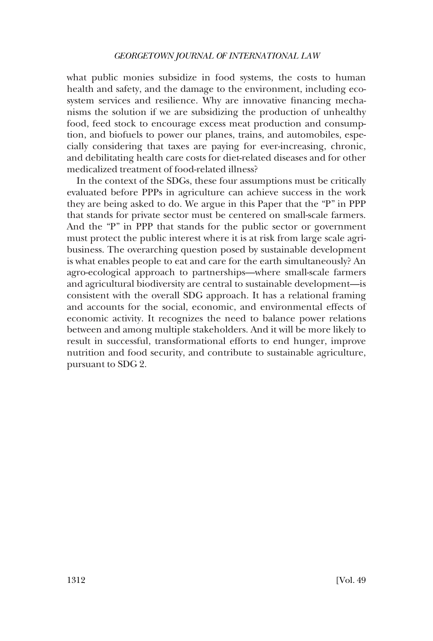what public monies subsidize in food systems, the costs to human health and safety, and the damage to the environment, including ecosystem services and resilience. Why are innovative financing mechanisms the solution if we are subsidizing the production of unhealthy food, feed stock to encourage excess meat production and consumption, and biofuels to power our planes, trains, and automobiles, especially considering that taxes are paying for ever-increasing, chronic, and debilitating health care costs for diet-related diseases and for other medicalized treatment of food-related illness?

In the context of the SDGs, these four assumptions must be critically evaluated before PPPs in agriculture can achieve success in the work they are being asked to do. We argue in this Paper that the "P" in PPP that stands for private sector must be centered on small-scale farmers. And the "P" in PPP that stands for the public sector or government must protect the public interest where it is at risk from large scale agribusiness. The overarching question posed by sustainable development is what enables people to eat and care for the earth simultaneously? An agro-ecological approach to partnerships—where small-scale farmers and agricultural biodiversity are central to sustainable development—is consistent with the overall SDG approach. It has a relational framing and accounts for the social, economic, and environmental effects of economic activity. It recognizes the need to balance power relations between and among multiple stakeholders. And it will be more likely to result in successful, transformational efforts to end hunger, improve nutrition and food security, and contribute to sustainable agriculture, pursuant to SDG 2.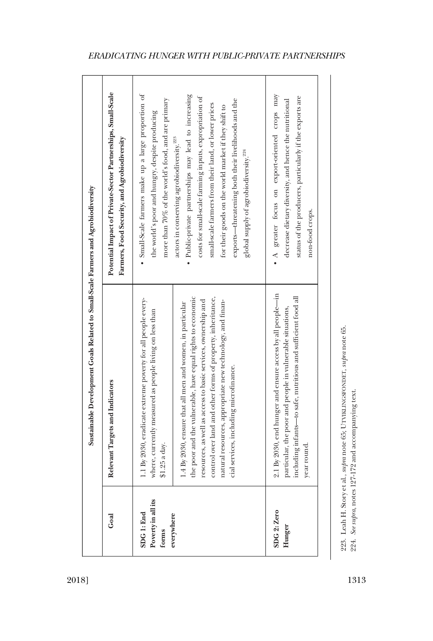|                                           | Sustainable Development Goals Related to Small-Scale Farmers and Agrobiodiversity                                                                                                                                                                                                                                                                              |                                                                                                                                                                                                                                                                                                                                                                                                    |
|-------------------------------------------|----------------------------------------------------------------------------------------------------------------------------------------------------------------------------------------------------------------------------------------------------------------------------------------------------------------------------------------------------------------|----------------------------------------------------------------------------------------------------------------------------------------------------------------------------------------------------------------------------------------------------------------------------------------------------------------------------------------------------------------------------------------------------|
| Goal                                      | Relevant Targets and Indicators                                                                                                                                                                                                                                                                                                                                | Potential Impact of Private-Sector Partnerships, Small-Scale<br>Farmers, Food Security, and Agrobiodiversity                                                                                                                                                                                                                                                                                       |
| Poverty in all its<br>SDG 1: End<br>forms | 1.1 By 2030, eradicate extreme poverty for all people every-<br>where, currently measured as people living on less than<br>$$1.25$ a day.                                                                                                                                                                                                                      | · Small-Scale farmers make up a large proportion of<br>more than 70% of the world's food, and are primary<br>the world's poor and hungry, despite producing                                                                                                                                                                                                                                        |
| everywhere                                | control over land and other forms of property, inheritance,<br>the poor and the vulnerable, have equal rights to economic<br>resources, as well as access to basic services, ownership and<br>natural resources, appropriate new technology, and finan-<br>1.4 By 2030, ensure that all men and women, in particular<br>cial services, including microfinance. | · Public-private partnerships may lead to increasing<br>costs for small-scale farming inputs, expropriation of<br>exports—threatening both their livelihoods and the<br>small-scale farmers from their land, or lower prices<br>for their goods on the world market if they shift to<br>actors in conserving agrobiodiversity. <sup>223</sup><br>global supply of agrobiodiversity. <sup>224</sup> |
| SDG <sub>2</sub> : Zero<br>Hunger         | 2.1 By 2030, end hunger and ensure access by all people-in<br>ncluding infants-to safe, nutritious and sufficient food all<br>particular, the poor and people in vulnerable situations,<br>rear round.                                                                                                                                                         | • A greater focus on export-oriented crops may<br>status of the producers, particularly if the exports are<br>decrease dietary diversity, and hence the nutritional<br>non-food crops.                                                                                                                                                                                                             |

223. Leah H. Story et al., supra note 65; UTVIKLINGSFONDET, supra note 65.<br>224. See supra, notes 127-172 and accompanying text. 223. Leah H. Story et al., *supra* note 65; UTVIKLINGSFONDET, *supra* note 65.

224. *See supra*, notes 127-172 and accompanying text.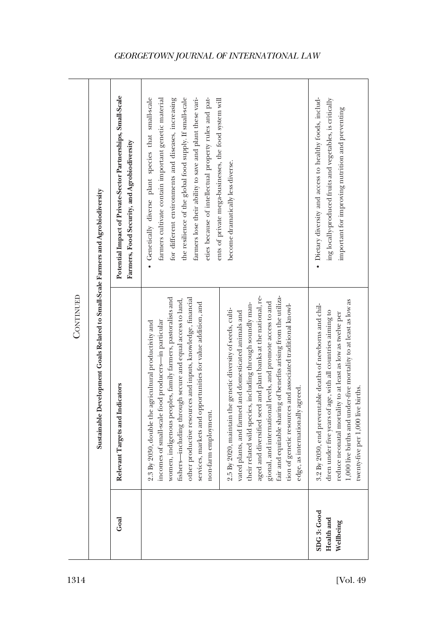|           |                                                                                   | Potential Impact of Private-Sector Partnerships, Small-Scale<br>Farmers, Food Security, and Agrobiodiversity | • Genetically diverse plant species that small-scale<br>the resilience of the global food supply. If small-scale<br>farmers lose their ability to save and plant these vari-<br>eties because of intellectual property rules and pat-<br>ents of private mega-businesses, the food system will<br>farmers cultivate contain important genetic material<br>for different environments and diseases, increasing<br>become dramatically less diverse.                                                                                                                                                                                                                                                                                                                                                                                                                                             | • Dietary diversity and access to healthy foods, includ-<br>ing locally-produced fruits and vegetables, is critically<br>important for improving nutrition and preventing                                                                                                                       |
|-----------|-----------------------------------------------------------------------------------|--------------------------------------------------------------------------------------------------------------|------------------------------------------------------------------------------------------------------------------------------------------------------------------------------------------------------------------------------------------------------------------------------------------------------------------------------------------------------------------------------------------------------------------------------------------------------------------------------------------------------------------------------------------------------------------------------------------------------------------------------------------------------------------------------------------------------------------------------------------------------------------------------------------------------------------------------------------------------------------------------------------------|-------------------------------------------------------------------------------------------------------------------------------------------------------------------------------------------------------------------------------------------------------------------------------------------------|
| CONTINUED | Sustainable Development Goals Related to Small-Scale Farmers and Agrobiodiversity | Relevant Targets and Indicators                                                                              | aged and diversified seed and plant banks at the national, re-<br>gional, and international levels, and promote access to and<br>fair and equitable sharing of benefits arising from the utiliza-<br>women, indigenous peoples, family farmers, pastoralists and<br>other productive resources and inputs, knowledge, financial<br>fishers-including through secure and equal access to land,<br>services, markets and opportunities for value addition, and<br>their related wild species, including through soundly man-<br>tion of genetic resources and associated traditional knowl-<br>2.5 By 2020, maintain the genetic diversity of seeds, culti-<br>vated plants, and farmed and domesticated animals and<br>incomes of small-scale food producers-in particular<br>2.3 By 2030, double the agricultural productivity and<br>edge, as internationally agreed.<br>non-farm employment. | reduce neonatal mortality to at least as low as twelve per<br>1,000 live births and under-five mortality to at least as low as<br>3.2 By 2030, end preventable deaths of newborns and chil-<br>dren under five years of age, with all countries aiming to<br>twenty-five per 1,000 live births. |
|           |                                                                                   | Goal                                                                                                         |                                                                                                                                                                                                                                                                                                                                                                                                                                                                                                                                                                                                                                                                                                                                                                                                                                                                                                | SDG3: Good<br>Health and<br>Wellbeing                                                                                                                                                                                                                                                           |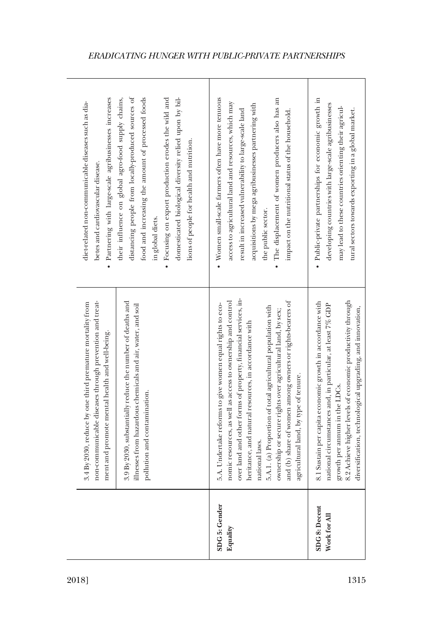|                                      | non-communicable diseases through prevention and treat-<br>3.9 By 2030, substantially reduce the number of deaths and<br>3.4 By 2030, reduce by one third premature mortality from<br>illnesses from hazardous chemicals and air, water, and soil<br>ment and promote mental health and well-being.<br>pollution and contamination.                                                                                                                                                                    | distancing people from locally-produced sources of<br>domesticated biological diversity relied upon by bil-<br>· Partnering with large-scale agribusinesses increases<br>food and increasing the amount of processed foods<br>their influence on global agro-food supply chains,<br>· Focusing on export production erodes the wild and<br>diet-related non-communicable diseases such as dia-<br>lions of people for health and nutrition.<br>betes and cardiovascular disease.<br>in global diets. |
|--------------------------------------|--------------------------------------------------------------------------------------------------------------------------------------------------------------------------------------------------------------------------------------------------------------------------------------------------------------------------------------------------------------------------------------------------------------------------------------------------------------------------------------------------------|------------------------------------------------------------------------------------------------------------------------------------------------------------------------------------------------------------------------------------------------------------------------------------------------------------------------------------------------------------------------------------------------------------------------------------------------------------------------------------------------------|
| SDG 5: Gender<br>Equality            | over land and other forms of property, financial services, in-<br>nomic resources, as well as access to ownership and control<br>and (b) share of women among owners or rights-bearers of<br>5.A. Undertake reforms to give women equal rights to eco-<br>national laws.<br>5.A.1. (a) Proportion of total agricultural population with<br>ownership or secure rights over agricultural land, by sex;<br>heritance, and natural resources, in accordance with<br>agricultural land, by type of tenure. | • Women small-scale farmers often have more tenuous<br>• The displacement of women producers also has an<br>access to agricultural land and resources, which may<br>acquisitions by mega agribusinesses partnering with<br>result in increased vulnerability to large-scale land<br>impact on the nutritional status of the household.<br>the public sector.                                                                                                                                         |
| <b>SDG 8: Decent</b><br>Work for All | growth per annum in the LDCs.<br>8.2 Achieve higher levels of economic productivity through<br>8.1 Sustain per capita economic growth in accordance with<br>national circumstances and, in particular, at least 7% GDP<br>diversification, technological upgrading, and innovation,                                                                                                                                                                                                                    | · Public-private partnerships for economic growth in<br>developing countries with large-scale agribusinesses<br>may lead to these countries orienting their agricul-<br>tural sectors towards exporting in a global market.                                                                                                                                                                                                                                                                          |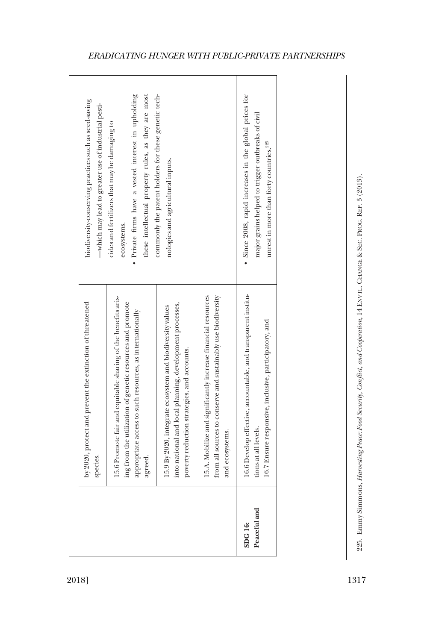| these intellectual property rules, as they are most<br>· Private firms have a vested interest in upholding<br>biodiversity-conserving practices such as seed-saving<br>-which may lead to greater use of industrial pesti-<br>cides and fertilizers that may be damaging to<br>ecosystems. |                                                                                                                                                                                                   | commonly the patent holders for these genetic tech-<br>nologies and agricultural inputs.                                                                             |                                                                                                                                                   | • Since 2008, rapid increases in the global prices for<br>major grains helped to trigger outbreaks of civil<br>unrest in more than forty countries. <sup>225</sup> |  |
|--------------------------------------------------------------------------------------------------------------------------------------------------------------------------------------------------------------------------------------------------------------------------------------------|---------------------------------------------------------------------------------------------------------------------------------------------------------------------------------------------------|----------------------------------------------------------------------------------------------------------------------------------------------------------------------|---------------------------------------------------------------------------------------------------------------------------------------------------|--------------------------------------------------------------------------------------------------------------------------------------------------------------------|--|
| by 2020, protect and prevent the extinction of threatened<br>species.                                                                                                                                                                                                                      | 15.6 Promote fair and equitable sharing of the benefits aris-<br>ing from the utilization of genetic resources and promote<br>appropriate access to such resources, as internationally<br>agreed. | into national and local planning, development processes,<br>15.9 By 2020, integrate ecosystem and biodiversity values<br>poverty reduction strategies, and accounts. | from all sources to conserve and sustainably use biodiversity<br>15.A. Mobilize and significantly increase financial resources<br>and ecosystems. | 16.6 Develop effective, accountable, and transparent institu-<br>16.7 Ensure responsive, inclusive, participatory, and<br>tions at all levels.                     |  |
|                                                                                                                                                                                                                                                                                            |                                                                                                                                                                                                   |                                                                                                                                                                      |                                                                                                                                                   | Peaceful and<br><b>SDG16:</b>                                                                                                                                      |  |

 $\overline{\phantom{a}}$ 

٦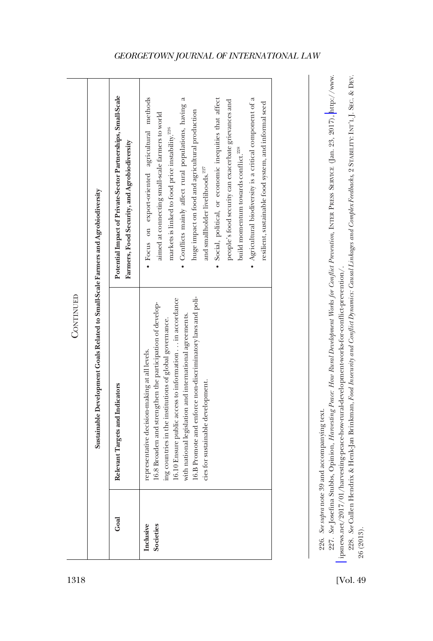|                        | Sustainable Development Goals Related to Small-Scale Farmers and Agrobiodiversity                                                                                                                                                                                                                                                                                                               |                                                                                                                                                                                                                                                                                                                                                                                                                                                                                                                                                                                                                          |
|------------------------|-------------------------------------------------------------------------------------------------------------------------------------------------------------------------------------------------------------------------------------------------------------------------------------------------------------------------------------------------------------------------------------------------|--------------------------------------------------------------------------------------------------------------------------------------------------------------------------------------------------------------------------------------------------------------------------------------------------------------------------------------------------------------------------------------------------------------------------------------------------------------------------------------------------------------------------------------------------------------------------------------------------------------------------|
| Goal                   | Relevant Targets and Indicators                                                                                                                                                                                                                                                                                                                                                                 | Potential Impact of Private-Sector Partnerships, Small-Scale<br>Farmers, Food Security, and Agrobiodiversity                                                                                                                                                                                                                                                                                                                                                                                                                                                                                                             |
| Inclusive<br>Societies | 16.B Promote and enforce non-discriminatory laws and poli-<br>16.10 Ensure public access to information  in accordance<br>16.8 Broaden and strengthen the participation of develop-<br>with national legislation and international agreements.<br>ing countries in the institutions of global governance.<br>representative decision-making at all levels.<br>cies for sustainable development. | · Focus on export-oriented agricultural methods<br>· Conflicts mainly affect rural populations, having a<br>• Agricultural biodiversity is a critical component of a<br>· Social, political, or economic inequities that affect<br>people's food security can exacerbate grievances and<br>resilient, sustainable food system, and informal seed<br>huge impact on food and agricultural production<br>aimed at connecting small-scale farmers to world<br>markets is linked to food price instability. <sup>226</sup><br>build momentum towards conflict. <sup>228</sup><br>and smallholder livelihoods. <sup>227</sup> |

*See* Josefina Stubbs, Opinion, *Harvesting Peace: How Rural Development Works for Conflict Prevention*, INTER PRESS SERVICE (Jan. 23, 2017), [http://www.](http://www.ipsnews.net/2017/01/harvesting-peace-how-rural-development-works-for-conflict-prevention/) 227. See Josefina Stubbs, Opinion, Harvesting Peace: How Rural Development Works for Conflict Prevention, INTER PRESS SERVICE (Jan. 23, 2017), http://www. 226. See supranote 39 and accompanying text. 226. *See supra* note 39 and accompanying text.

ipsnews.net/2017/01/harvesting-peace-how-rural-development-works-for-conflict-prevention/. [ipsnews.net/2017/01/harvesting-peace-how-rural-development-works-for-conflict-prevention/](http://www.ipsnews.net/2017/01/harvesting-peace-how-rural-development-works-for-conflict-prevention/).

228. *See* Cullen Hendrix & Henk-Jan Brinkman, *Food Insecurity and Conflict Dynamics: Causal Linkages and Complex Feedbacks*, 2 STABILITY: INT'L J. SEC. & DEV. 228. See Gullen Hendrix & Henk-Jan Brinkman, Food Insecurity and Conflict Dynamics: Causal Linkages and Complex Feedbacks, 2 STABILITY: INTL.J. SEC. & DEV. 26 (2013). 26 (2013).

**CONTINUED** 

**CONTINUED**